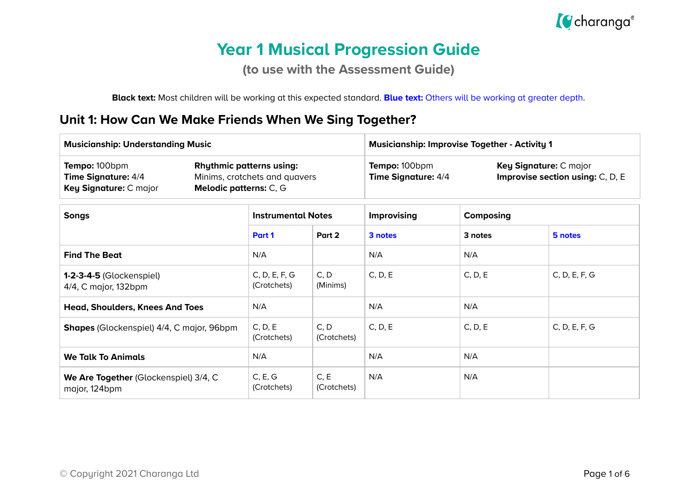

# **Year 1 Musical Progression Guide**

**(to use with the Assessment Guide)**

**Black text:** Most children will be working at this expected standard. **Blue text:** Others will be working at greater depth.

#### **Unit 1: How Can We Make Friends When We Sing Together?**

| <b>Musicianship: Understanding Music</b>                              |                                                                                            | <b>Musicianship: Improvise Together - Activity 1</b> |                                                                   |  |
|-----------------------------------------------------------------------|--------------------------------------------------------------------------------------------|------------------------------------------------------|-------------------------------------------------------------------|--|
| Tempo: 100bpm<br><b>Time Signature: 4/4</b><br>Key Signature: C major | <b>Rhythmic patterns using:</b><br>Minims, crotchets and quavers<br>Melodic patterns: C, G | Tempo: 100bpm<br><b>Time Signature: 4/4</b>          | Key Signature: C major<br><b>Improvise section using: C, D, E</b> |  |

| <b>Songs</b>                                            | <b>Instrumental Notes</b>    |                     | <b>Improvising</b> | Composing |               |
|---------------------------------------------------------|------------------------------|---------------------|--------------------|-----------|---------------|
|                                                         | Part 1                       | Part 2              | 3 notes            | 3 notes   | 5 notes       |
| <b>Find The Beat</b>                                    | N/A                          |                     | N/A                | N/A       |               |
| <b>1-2-3-4-5 (Glockenspiel)</b><br>4/4, C major, 132bpm | C, D, E, F, G<br>(Crotchets) | C, D<br>(Minims)    | C, D, E            | C, D, E   | C, D, E, F, G |
| <b>Head, Shoulders, Knees And Toes</b>                  | N/A                          |                     | N/A                | N/A       |               |
| <b>Shapes</b> (Glockenspiel) 4/4, C major, 96bpm        | C, D, E<br>(Crotchets)       | C, D<br>(Crotchets) | C, D, E            | C, D, E   | C, D, E, F, G |
| <b>We Talk To Animals</b>                               | N/A                          |                     | N/A                | N/A       |               |
| We Are Together (Glockenspiel) 3/4, C<br>major, 124bpm  | C, E, G<br>(Crotchets)       | C, E<br>(Crotchets) | N/A                | N/A       |               |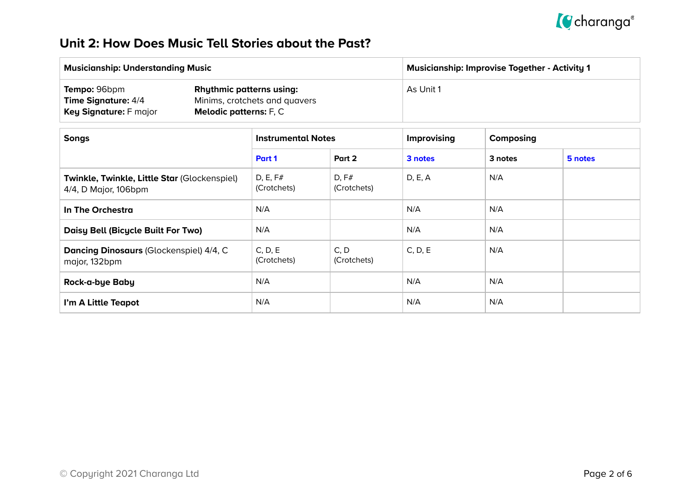

### **Unit 2: How Does Music Tell Stories about the Past?**

| <b>Musicianship: Understanding Music</b>                                    |                                                                                                   | <b>Musicianship: Improvise Together - Activity 1</b> |
|-----------------------------------------------------------------------------|---------------------------------------------------------------------------------------------------|------------------------------------------------------|
| Tempo: 96bpm<br><b>Time Signature: 4/4</b><br><b>Key Signature: F major</b> | <b>Rhythmic patterns using:</b><br>Minims, crotchets and quavers<br><b>Melodic patterns:</b> F, C | As Unit 1                                            |

| <b>Songs</b>                                                         | <b>Instrumental Notes</b> |                      | Improvising | Composing |         |
|----------------------------------------------------------------------|---------------------------|----------------------|-------------|-----------|---------|
|                                                                      | Part 1                    | Part 2               | 3 notes     | 3 notes   | 5 notes |
| Twinkle, Twinkle, Little Star (Glockenspiel)<br>4/4, D Major, 106bpm | D, E, F#<br>(Crotchets)   | D, F#<br>(Crotchets) | D, E, A     | N/A       |         |
| In The Orchestra                                                     | N/A                       |                      | N/A         | N/A       |         |
| Daisy Bell (Bicycle Built For Two)                                   | N/A                       |                      | N/A         | N/A       |         |
| Dancing Dinosaurs (Glockenspiel) 4/4, C<br>major, 132bpm             | C, D, E<br>(Crotchets)    | C, D<br>(Crotchets)  | C, D, E     | N/A       |         |
| Rock-a-bye Baby                                                      | N/A                       |                      | N/A         | N/A       |         |
| I'm A Little Teapot                                                  | N/A                       |                      | N/A         | N/A       |         |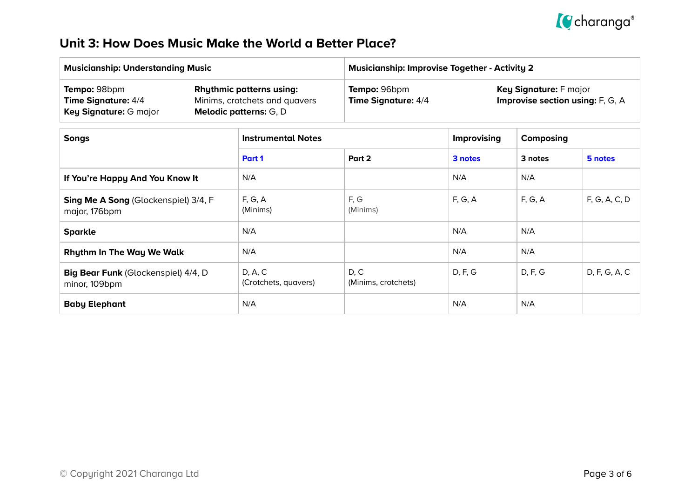

### **Unit 3: How Does Music Make the World a Better Place?**

| <b>Musicianship: Understanding Music</b>                                    |                                                                                                   | <b>Musicianship: Improvise Together - Activity 2</b> |                                                              |  |
|-----------------------------------------------------------------------------|---------------------------------------------------------------------------------------------------|------------------------------------------------------|--------------------------------------------------------------|--|
| Tempo: 98bpm<br><b>Time Signature: 4/4</b><br><b>Key Signature: G major</b> | <b>Rhythmic patterns using:</b><br>Minims, crotchets and quavers<br><b>Melodic patterns:</b> G, D | Tempo: 96bpm<br>Time Signature: 4/4                  | Key Signature: F major<br>Improvise section using: $F, G, A$ |  |

| <b>Songs</b>                                          | <b>Instrumental Notes</b>       |                             | <b>Improvising</b> | Composing |               |
|-------------------------------------------------------|---------------------------------|-----------------------------|--------------------|-----------|---------------|
|                                                       | Part 1                          | Part 2                      | 3 notes            | 3 notes   | 5 notes       |
| If You're Happy And You Know It                       | N/A                             |                             | N/A                | N/A       |               |
| Sing Me A Song (Glockenspiel) 3/4, F<br>major, 176bpm | F, G, A<br>(Minims)             | F, G<br>(Minims)            | F, G, A            | F, G, A   | F, G, A, C, D |
| <b>Sparkle</b>                                        | N/A                             |                             | N/A                | N/A       |               |
| <b>Rhythm In The Way We Walk</b>                      | N/A                             |                             | N/A                | N/A       |               |
| Big Bear Funk (Glockenspiel) 4/4, D<br>minor, 109bpm  | D, A, C<br>(Crotchets, quavers) | D, C<br>(Minims, crotchets) | D, F, G            | D, F, G   | D, F, G, A, C |
| <b>Baby Elephant</b>                                  | N/A                             |                             | N/A                | N/A       |               |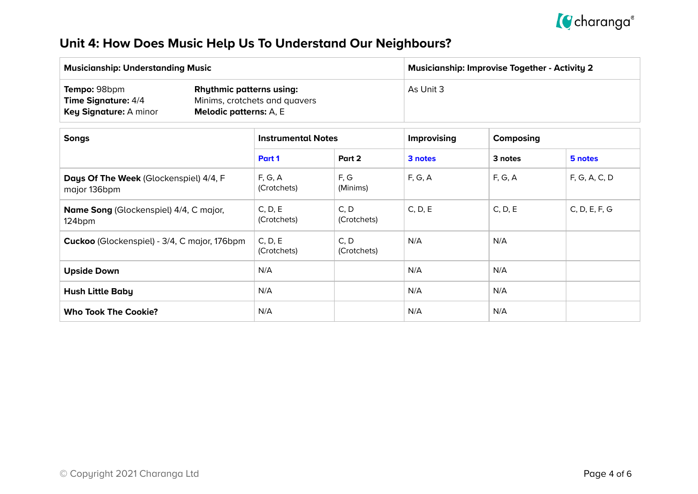

## **Unit 4: How Does Music Help Us To Understand Our Neighbours?**

| <b>Musicianship: Understanding Music</b>                                    |                                                                                                   | <b>Musicianship: Improvise Together - Activity 2</b> |
|-----------------------------------------------------------------------------|---------------------------------------------------------------------------------------------------|------------------------------------------------------|
| Tempo: 98bpm<br><b>Time Signature: 4/4</b><br><b>Key Signature: A minor</b> | <b>Rhythmic patterns using:</b><br>Minims, crotchets and quavers<br><b>Melodic patterns:</b> A, E | As Unit 3                                            |

| <b>Songs</b>                                            | <b>Instrumental Notes</b> |                     | Improvising | Composing |               |
|---------------------------------------------------------|---------------------------|---------------------|-------------|-----------|---------------|
|                                                         | Part 1                    | Part 2              | 3 notes     | 3 notes   | 5 notes       |
| Days Of The Week (Glockenspiel) 4/4, F<br>major 136bpm  | F, G, A<br>(Crotchets)    | F, G<br>(Minims)    | F, G, A     | F, G, A   | F, G, A, C, D |
| <b>Name Song (Glockenspiel) 4/4, C major,</b><br>124bpm | C, D, E<br>(Crotchets)    | C, D<br>(Crotchets) | C, D, E     | C, D, E   | C, D, E, F, G |
| Cuckoo (Glockenspiel) - 3/4, C major, 176bpm            | C, D, E<br>(Crotchets)    | C, D<br>(Crotchets) | N/A         | N/A       |               |
| <b>Upside Down</b>                                      | N/A                       |                     | N/A         | N/A       |               |
| <b>Hush Little Baby</b>                                 | N/A                       |                     | N/A         | N/A       |               |
| <b>Who Took The Cookie?</b>                             | N/A                       |                     | N/A         | N/A       |               |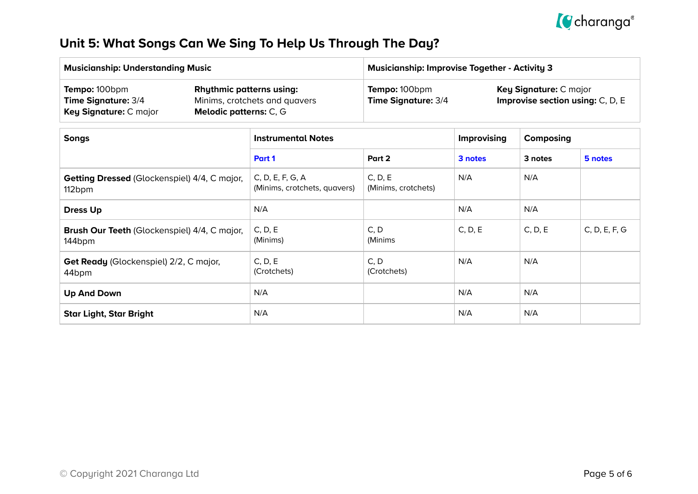

## **Unit 5: What Songs Can We Sing To Help Us Through The Day?**

| <b>Musicianship: Understanding Music</b>                              |                                                                                                   | Musicianship: Improvise Together - Activity 3 $^{\circ}$ |                                                                     |  |
|-----------------------------------------------------------------------|---------------------------------------------------------------------------------------------------|----------------------------------------------------------|---------------------------------------------------------------------|--|
| Tempo: 100bpm<br><b>Time Signature: 3/4</b><br>Key Signature: C major | <b>Rhythmic patterns using:</b><br>Minims, crotchets and quavers<br><b>Melodic patterns:</b> C, G | <b>Tempo: 100bpm</b><br><b>Time Signature: 3/4</b>       | Key Signature: C major<br><b>Improvise section using:</b> $C, D, E$ |  |

| <b>Songs</b>                                                  | <b>Instrumental Notes</b>                        |                                | <b>Improvising</b> | Composing |               |
|---------------------------------------------------------------|--------------------------------------------------|--------------------------------|--------------------|-----------|---------------|
|                                                               | Part 1                                           | Part 2                         | 3 notes            | 3 notes   | 5 notes       |
| <b>Getting Dressed (Glockenspiel) 4/4, C major,</b><br>112bpm | C, D, E, F, G, A<br>(Minims, crotchets, quavers) | C, D, E<br>(Minims, crotchets) | N/A                | N/A       |               |
| <b>Dress Up</b>                                               | N/A                                              |                                | N/A                | N/A       |               |
| Brush Our Teeth (Glockenspiel) 4/4, C major,<br>144bpm        | C, D, E<br>(Minims)                              | C, D<br>(Minims                | C, D, E            | C, D, E   | C, D, E, F, G |
| Get Ready (Glockenspiel) 2/2, C major,<br>44 <sub>bpm</sub>   | C, D, E<br>(Crotchets)                           | C, D<br>(Crotchets)            | N/A                | N/A       |               |
| <b>Up And Down</b>                                            | N/A                                              |                                | N/A                | N/A       |               |
| <b>Star Light, Star Bright</b>                                | N/A                                              |                                | N/A                | N/A       |               |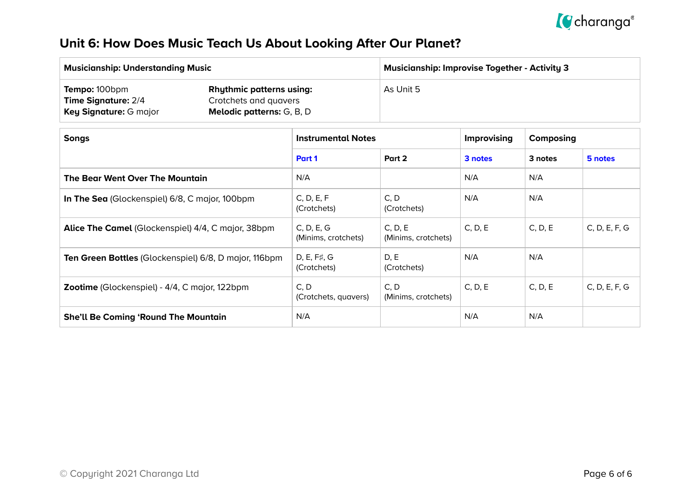

## **Unit 6: How Does Music Teach Us About Looking After Our Planet?**

| <b>Musicianship: Understanding Music</b>                                     |                                                                                              | <b>Musicianship: Improvise Together - Activity 3</b> |
|------------------------------------------------------------------------------|----------------------------------------------------------------------------------------------|------------------------------------------------------|
| <b>Tempo: 100bpm</b><br><b>Time Signature: 2/4</b><br>Key Signature: G major | <b>Rhythmic patterns using:</b><br>Crotchets and quavers<br><b>Melodic patterns:</b> G, B, D | As Unit 5                                            |

| <b>Songs</b>                                              | <b>Instrumental Notes</b>          |                                | <b>Improvising</b> | Composing |               |
|-----------------------------------------------------------|------------------------------------|--------------------------------|--------------------|-----------|---------------|
|                                                           | Part 1                             | Part 2                         | 3 notes            | 3 notes   | 5 notes       |
| The Bear Went Over The Mountain                           | N/A                                |                                | N/A                | N/A       |               |
| In The Sea (Glockenspiel) 6/8, C major, 100bpm            | C, D, E, F<br>(Crotchets)          | C, D<br>(Crotchets)            | N/A                | N/A       |               |
| <b>Alice The Camel</b> (Glockenspiel) 4/4, C major, 38bpm | C, D, E, G<br>(Minims, crotchets)  | C, D, E<br>(Minims, crotchets) | C, D, E            | C, D, E   | C, D, E, F, G |
| Ten Green Bottles (Glockenspiel) 6/8, D major, 116bpm     | D, E, $F\sharp$ , G<br>(Crotchets) | D, E<br>(Crotchets)            | N/A                | N/A       |               |
| Zootime (Glockenspiel) - 4/4, C major, 122bpm             | C, D<br>(Crotchets, quavers)       | C, D<br>(Minims, crotchets)    | C, D, E            | C, D, E   | C, D, E, F, G |
| <b>She'll Be Coming 'Round The Mountain</b>               | N/A                                |                                | N/A                | N/A       |               |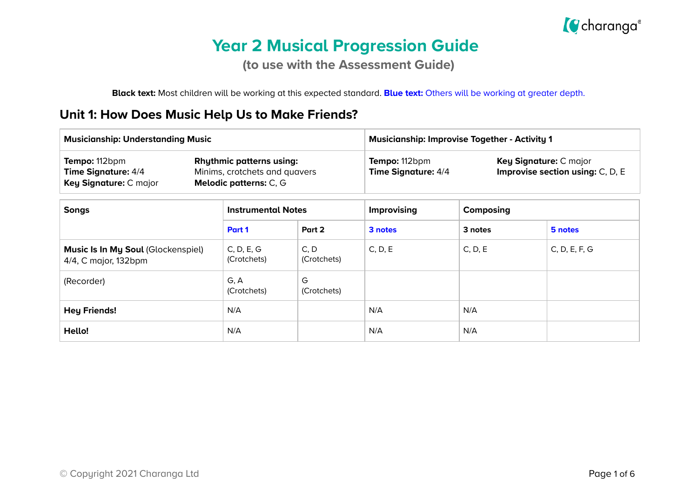

# **Year 2 Musical Progression Guide**

**(to use with the Assessment Guide)**

**Black text:** Most children will be working at this expected standard. **Blue text:** Others will be working at greater depth.

#### **Unit 1: How Does Music Help Us to Make Friends?**

| <b>Musicianship: Understanding Music</b>                       |                                                                                            |                     | <b>Musicianship: Improvise Together - Activity 1</b> |                                                            |               |  |
|----------------------------------------------------------------|--------------------------------------------------------------------------------------------|---------------------|------------------------------------------------------|------------------------------------------------------------|---------------|--|
| Tempo: 112bpm<br>Time Signature: 4/4<br>Key Signature: C major | <b>Rhythmic patterns using:</b><br>Minims, crotchets and quavers<br>Melodic patterns: C, G |                     | Tempo: 112bpm<br><b>Time Signature: 4/4</b>          | Key Signature: C major<br>Improvise section using: C, D, E |               |  |
| <b>Songs</b>                                                   | <b>Instrumental Notes</b>                                                                  |                     | Improvising                                          | Composing                                                  |               |  |
|                                                                | Part 1                                                                                     | Part 2              | 3 notes                                              | 3 notes                                                    | 5 notes       |  |
| Music Is In My Soul (Glockenspiel)<br>4/4, C major, 132bpm     | C, D, E, G<br>(Crotchets)                                                                  | C, D<br>(Crotchets) | C, D, E                                              | C, D, E                                                    | C, D, E, F, G |  |
| (Recorder)                                                     | G, A<br>(Crotchets)                                                                        | G<br>(Crotchets)    |                                                      |                                                            |               |  |
| <b>Hey Friends!</b>                                            | N/A                                                                                        |                     | N/A                                                  | N/A                                                        |               |  |
| Hello!                                                         | N/A                                                                                        |                     | N/A                                                  | N/A                                                        |               |  |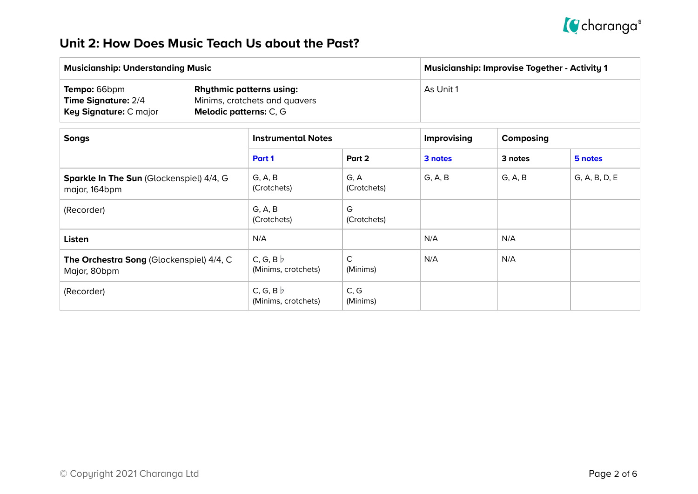

### **Unit 2: How Does Music Teach Us about the Past?**

| <b>Musicianship: Understanding Music</b>                                    |                                                                                                   | <b>Musicianship: Improvise Together - Activity 1</b> |  |  |
|-----------------------------------------------------------------------------|---------------------------------------------------------------------------------------------------|------------------------------------------------------|--|--|
| Tempo: 66bpm<br><b>Time Signature: 2/4</b><br><b>Key Signature: C major</b> | <b>Rhythmic patterns using:</b><br>Minims, crotchets and quavers<br><b>Melodic patterns:</b> C, G | As Unit 1                                            |  |  |

| <b>Songs</b>                                              | <b>Instrumental Notes</b>              |                          | Improvising | Composing |               |
|-----------------------------------------------------------|----------------------------------------|--------------------------|-------------|-----------|---------------|
|                                                           | Part 1                                 | Part 2                   | 3 notes     | 3 notes   | 5 notes       |
| Sparkle In The Sun (Glockenspiel) 4/4, G<br>major, 164bpm | G, A, B<br>(Crotchets)                 | G, A<br>(Crotchets)      | G, A, B     | G, A, B   | G, A, B, D, E |
| (Recorder)                                                | G, A, B<br>(Crotchets)                 | G<br>(Crotchets)         |             |           |               |
| <b>Listen</b>                                             | N/A                                    |                          | N/A         | N/A       |               |
| The Orchestra Song (Glockenspiel) 4/4, C<br>Major, 80bpm  | $C, G, B \nmid$<br>(Minims, crotchets) | $\mathsf{C}$<br>(Minims) | N/A         | N/A       |               |
| (Recorder)                                                | C, G, B $\flat$<br>(Minims, crotchets) | C, G<br>(Minims)         |             |           |               |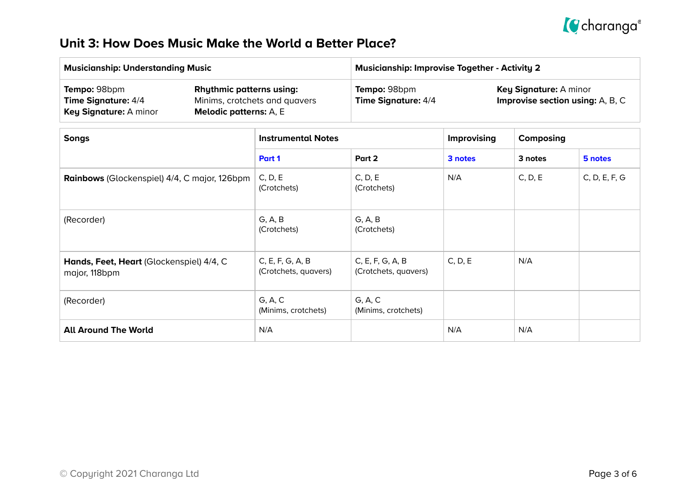

### **Unit 3: How Does Music Make the World a Better Place?**

| <b>Musicianship: Understanding Music</b>                                    |                                                                                                   | <b>Musicianship: Improvise Together - Activity 2</b> |                                                                          |  |  |
|-----------------------------------------------------------------------------|---------------------------------------------------------------------------------------------------|------------------------------------------------------|--------------------------------------------------------------------------|--|--|
| Tempo: 98bpm<br><b>Time Signature: 4/4</b><br><b>Key Signature: A minor</b> | <b>Rhythmic patterns using:</b><br>Minims, crotchets and quavers<br><b>Melodic patterns:</b> A, E | Tempo: 98bpm<br><b>Time Signature: 4/4</b>           | <b>Key Signature: A minor</b><br><b>Improvise section using:</b> A, B, C |  |  |

| <b>Songs</b>                                              | <b>Instrumental Notes</b>                |                                          | Improvising | Composing |               |
|-----------------------------------------------------------|------------------------------------------|------------------------------------------|-------------|-----------|---------------|
|                                                           | Part 1                                   | Part 2                                   | 3 notes     | 3 notes   | 5 notes       |
| Rainbows (Glockenspiel) 4/4, C major, 126bpm              | C, D, E<br>(Crotchets)                   | C, D, E<br>(Crotchets)                   | N/A         | C, D, E   | C, D, E, F, G |
| (Recorder)                                                | G, A, B<br>(Crotchets)                   | G, A, B<br>(Crotchets)                   |             |           |               |
| Hands, Feet, Heart (Glockenspiel) 4/4, C<br>major, 118bpm | C, E, F, G, A, B<br>(Crotchets, quavers) | C, E, F, G, A, B<br>(Crotchets, quavers) | C, D, E     | N/A       |               |
| (Recorder)                                                | G, A, C<br>(Minims, crotchets)           | G, A, C<br>(Minims, crotchets)           |             |           |               |
| <b>All Around The World</b>                               | N/A                                      |                                          | N/A         | N/A       |               |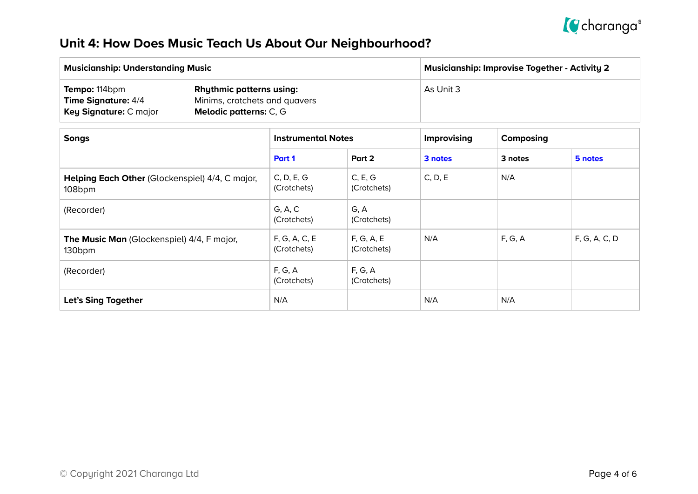

## **Unit 4: How Does Music Teach Us About Our Neighbourhood?**

| <b>Musicianship: Understanding Music</b>                                     |                                                                                                   | <b>Musicianship: Improvise Together - Activity 2</b> |  |  |
|------------------------------------------------------------------------------|---------------------------------------------------------------------------------------------------|------------------------------------------------------|--|--|
| Tempo: 114bpm<br><b>Time Signature: 4/4</b><br><b>Key Signature: C major</b> | <b>Rhythmic patterns using:</b><br>Minims, crotchets and quavers<br><b>Melodic patterns: C, G</b> | As Unit 3                                            |  |  |

| <b>Songs</b>                                                     | <b>Instrumental Notes</b>    |                           | <b>Improvising</b> | Composing |               |
|------------------------------------------------------------------|------------------------------|---------------------------|--------------------|-----------|---------------|
|                                                                  | Part 1                       | Part 2                    | 3 notes            | 3 notes   | 5 notes       |
| Helping Each Other (Glockenspiel) 4/4, C major,<br>108bpm        | C, D, E, G<br>(Crotchets)    | C, E, G<br>(Crotchets)    | C, D, E            | N/A       |               |
| (Recorder)                                                       | G, A, C<br>(Crotchets)       | G, A<br>(Crotchets)       |                    |           |               |
| The Music Man (Glockenspiel) 4/4, F major,<br>130 <sub>bpm</sub> | F, G, A, C, E<br>(Crotchets) | F, G, A, E<br>(Crotchets) | N/A                | F, G, A   | F, G, A, C, D |
| (Recorder)                                                       | F, G, A<br>(Crotchets)       | F, G, A<br>(Crotchets)    |                    |           |               |
| Let's Sing Together                                              | N/A                          |                           | N/A                | N/A       |               |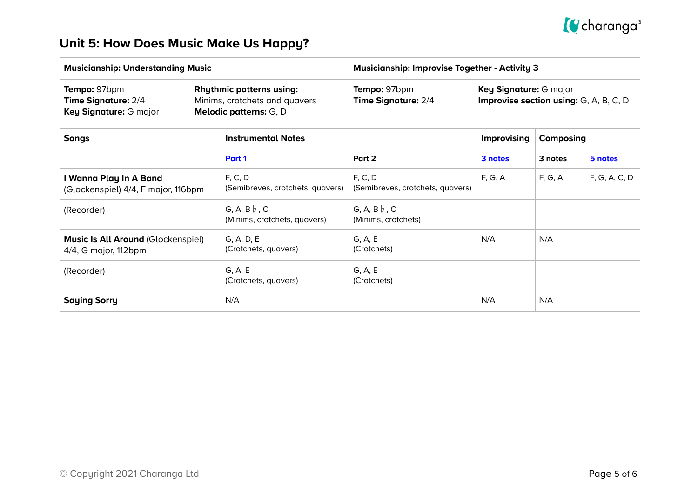

## **Unit 5: How Does Music Make Us Happy?**

| <b>Musicianship: Understanding Music</b>                                    |                                                                                                   | <b>Musicianship: Improvise Together - Activity 3</b> |                                                                                |  |  |
|-----------------------------------------------------------------------------|---------------------------------------------------------------------------------------------------|------------------------------------------------------|--------------------------------------------------------------------------------|--|--|
| <b>Tempo: 97bpm</b><br><b>Time Signature: 2/4</b><br>Key Signature: G major | <b>Rhythmic patterns using:</b><br>Minims, crotchets and quavers<br><b>Melodic patterns:</b> G, D | Tempo: 97bpm<br><b>Time Signature: 2/4</b>           | <b>Key Signature: G major</b><br><b>Improvise section using:</b> G, A, B, C, D |  |  |

| <b>Songs</b>                                                      | <b>Instrumental Notes</b>                           |                                             | Improvising | Composing |               |
|-------------------------------------------------------------------|-----------------------------------------------------|---------------------------------------------|-------------|-----------|---------------|
|                                                                   | Part 1                                              | Part 2                                      | 3 notes     | 3 notes   | 5 notes       |
| I Wanna Play In A Band<br>(Glockenspiel) 4/4, F major, 116bpm     | F, C, D<br>(Semibreves, crotchets, quavers)         | F, C, D<br>(Semibreves, crotchets, quavers) | F, G, A     | F, G, A   | F, G, A, C, D |
| (Recorder)                                                        | G, A, B $\flat$ , C<br>(Minims, crotchets, quavers) | G, A, B $\flat$ , C<br>(Minims, crotchets)  |             |           |               |
| <b>Music Is All Around (Glockenspiel)</b><br>4/4, G major, 112bpm | G, A, D, E<br>(Crotchets, quavers)                  | G, A, E<br>(Crotchets)                      | N/A         | N/A       |               |
| (Recorder)                                                        | G, A, E<br>(Crotchets, quavers)                     | G, A, E<br>(Crotchets)                      |             |           |               |
| <b>Saying Sorry</b>                                               | N/A                                                 |                                             | N/A         | N/A       |               |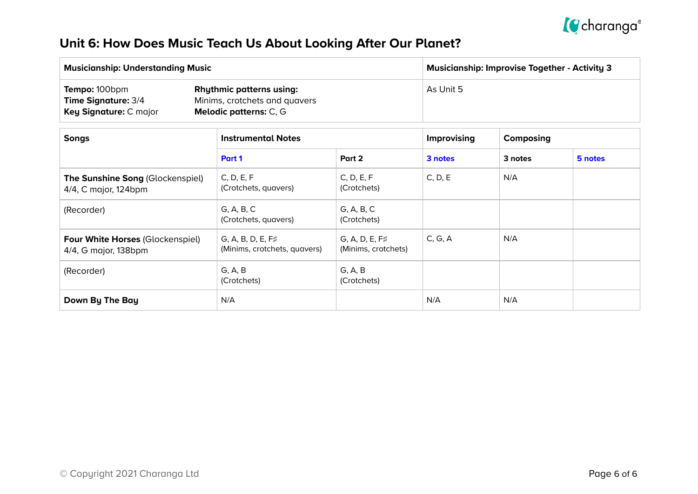

## **Unit 6: How Does Music Teach Us About Looking After Our Planet?**

| <b>Musicianship: Understanding Music</b>                                     |                                                                                                   | Musicianship: Improvise Together - Activity 3 |  |  |
|------------------------------------------------------------------------------|---------------------------------------------------------------------------------------------------|-----------------------------------------------|--|--|
| <b>Tempo: 100bpm</b><br><b>Time Signature: 3/4</b><br>Key Signature: C major | <b>Rhythmic patterns using:</b><br>Minims, crotchets and quavers<br><b>Melodic patterns: C, G</b> | As Unit 5                                     |  |  |

| <b>Songs</b>                                                    | <b>Instrumental Notes</b>                                |                                              | Improvising | Composing |         |
|-----------------------------------------------------------------|----------------------------------------------------------|----------------------------------------------|-------------|-----------|---------|
|                                                                 | Part 1                                                   | Part 2                                       | 3 notes     | 3 notes   | 5 notes |
| The Sunshine Song (Glockenspiel)<br>4/4, C major, 124bpm        | C, D, E, F<br>(Crotchets, quavers)                       | C, D, E, F<br>(Crotchets)                    | C, D, E     | N/A       |         |
| (Recorder)                                                      | G, A, B, C<br>(Crotchets, quavers)                       | G, A, B, C<br>(Crotchets)                    |             |           |         |
| <b>Four White Horses (Glockenspiel)</b><br>4/4, G major, 138bpm | $G, A, B, D, E, F\sharp$<br>(Minims, crotchets, quavers) | $G, A, D, E, F\sharp$<br>(Minims, crotchets) | C, G, A     | N/A       |         |
| (Recorder)                                                      | G, A, B<br>(Crotchets)                                   | G, A, B<br>(Crotchets)                       |             |           |         |
| Down By The Bay                                                 | N/A                                                      |                                              | N/A         | N/A       |         |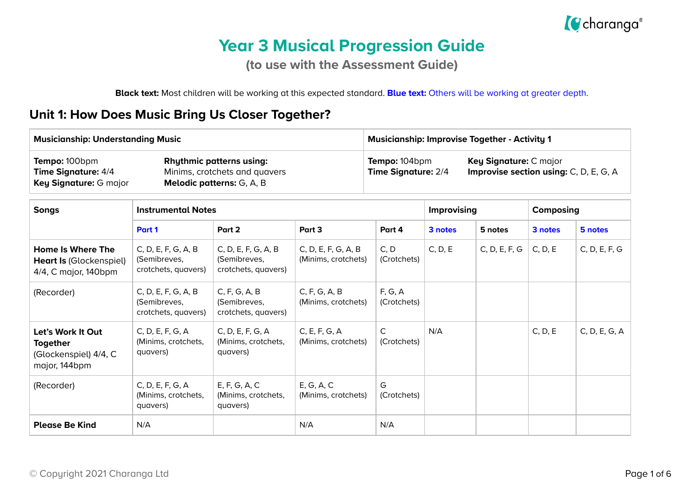

# **Year 3 Musical Progression Guide**

**(to use with the Assessment Guide)**

**Black text:** Most children will be working at this expected standard. **Blue text:** Others will be working at greater depth.

#### **Unit 1: How Does Music Bring Us Closer Together?**

| <b>Musicianship: Understanding Music</b>                                                                                                                        |                                                            |                                                            |                                                                                                          |                             | <b>Musicianship: Improvise Together - Activity 1</b> |               |           |               |
|-----------------------------------------------------------------------------------------------------------------------------------------------------------------|------------------------------------------------------------|------------------------------------------------------------|----------------------------------------------------------------------------------------------------------|-----------------------------|------------------------------------------------------|---------------|-----------|---------------|
| Tempo: 100bpm<br><b>Rhythmic patterns using:</b><br>Time Signature: 4/4<br>Minims, crotchets and quavers<br>Key Signature: G major<br>Melodic patterns: G, A, B |                                                            |                                                            | Tempo: 104bpm<br>Key Signature: C major<br>Improvise section using: C, D, E, G, A<br>Time Signature: 2/4 |                             |                                                      |               |           |               |
| <b>Songs</b>                                                                                                                                                    | <b>Instrumental Notes</b>                                  |                                                            |                                                                                                          |                             | Improvising                                          |               | Composing |               |
|                                                                                                                                                                 | Part 1                                                     | Part 2                                                     | Part 3                                                                                                   | Part 4                      | 3 notes                                              | 5 notes       | 3 notes   | 5 notes       |
| <b>Home Is Where The</b><br><b>Heart Is (Glockenspiel)</b><br>4/4, C major, 140bpm                                                                              | C, D, E, F, G, A, B<br>(Semibreves,<br>crotchets, quavers) | C, D, E, F, G, A, B<br>(Semibreves,<br>crotchets, quavers) | C, D, E, F, G, A, B<br>(Minims, crotchets)                                                               | C, D<br>(Crotchets)         | C, D, E                                              | C, D, E, F, G | C, D, E   | C, D, E, F, G |
| (Recorder)                                                                                                                                                      | C, D, E, F, G, A, B<br>(Semibreves,<br>crotchets, quavers) | C, F, G, A, B<br>(Semibreves,<br>crotchets, quavers)       | C, F, G, A, B<br>(Minims, crotchets)                                                                     | F, G, A<br>(Crotchets)      |                                                      |               |           |               |
| Let's Work It Out<br><b>Together</b><br>(Glockenspiel) 4/4, C<br>major, 144bpm                                                                                  | C, D, E, F, G, A<br>(Minims, crotchets,<br>quavers)        | C, D, E, F, G, A<br>(Minims, crotchets,<br>quavers)        | C, E, F, G, A<br>(Minims, crotchets)                                                                     | $\mathsf{C}$<br>(Crotchets) | N/A                                                  |               | C, D, E   | C, D, E, G, A |
| (Recorder)                                                                                                                                                      | C, D, E, F, G, A<br>(Minims, crotchets,<br>quavers)        | E, F, G, A, C<br>(Minims, crotchets,<br>quavers)           | E, G, A, C<br>(Minims, crotchets)                                                                        | G<br>(Crotchets)            |                                                      |               |           |               |
| <b>Please Be Kind</b>                                                                                                                                           | N/A                                                        |                                                            | N/A                                                                                                      | N/A                         |                                                      |               |           |               |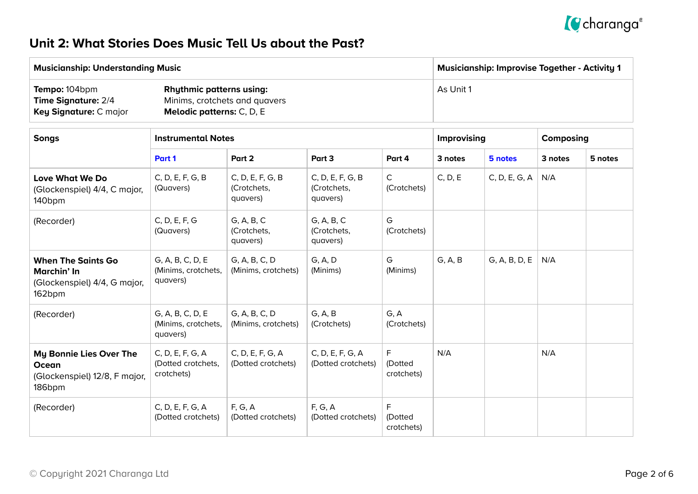

### **Unit 2: What Stories Does Music Tell Us about the Past?**

| <b>Musicianship: Understanding Music</b>                                            |                                                                                                      | <b>Musicianship: Improvise Together - Activity 1</b> |
|-------------------------------------------------------------------------------------|------------------------------------------------------------------------------------------------------|------------------------------------------------------|
| <b>Tempo:</b> 104bpm<br><b>Time Signature: 2/4</b><br><b>Key Signature: C major</b> | <b>Rhythmic patterns using:</b><br>Minims, crotchets and quavers<br><b>Melodic patterns:</b> C, D, E | As Unit 1                                            |

| <b>Songs</b>                                                                       | <b>Instrumental Notes</b>                            |                                             |                                             |                             | <b>Improvising</b> |               | Composing |         |
|------------------------------------------------------------------------------------|------------------------------------------------------|---------------------------------------------|---------------------------------------------|-----------------------------|--------------------|---------------|-----------|---------|
|                                                                                    | Part 1                                               | Part 2                                      | Part 3                                      | Part 4                      | 3 notes            | 5 notes       | 3 notes   | 5 notes |
| Love What We Do<br>(Glockenspiel) 4/4, C major,<br>140 <sub>bpm</sub>              | C, D, E, F, G, B<br>(Quavers)                        | C, D, E, F, G, B<br>(Crotchets,<br>quavers) | C, D, E, F, G, B<br>(Crotchets,<br>quavers) | C<br>(Crotchets)            | C, D, E            | C, D, E, G, A | N/A       |         |
| (Recorder)                                                                         | C, D, E, F, G<br>(Quavers)                           | G, A, B, C<br>(Crotchets,<br>quavers)       | G, A, B, C<br>(Crotchets,<br>quavers)       | G<br>(Crotchets)            |                    |               |           |         |
| <b>When The Saints Go</b><br>Marchin' In<br>(Glockenspiel) 4/4, G major,<br>162bpm | G, A, B, C, D, E<br>(Minims, crotchets,<br>quavers)  | G, A, B, C, D<br>(Minims, crotchets)        | G, A, D<br>(Minims)                         | G<br>(Minims)               | G, A, B            | G, A, B, D, E | N/A       |         |
| (Recorder)                                                                         | G, A, B, C, D, E<br>(Minims, crotchets,<br>quavers)  | G, A, B, C, D<br>(Minims, crotchets)        | G, A, B<br>(Crotchets)                      | G, A<br>(Crotchets)         |                    |               |           |         |
| My Bonnie Lies Over The<br>Ocean<br>(Glockenspiel) 12/8, F major,<br>186bpm        | C, D, E, F, G, A<br>(Dotted crotchets,<br>crotchets) | C, D, E, F, G, A<br>(Dotted crotchets)      | C, D, E, F, G, A<br>(Dotted crotchets)      | F<br>(Dotted<br>crotchets)  | N/A                |               | N/A       |         |
| (Recorder)                                                                         | C, D, E, F, G, A<br>(Dotted crotchets)               | F, G, A<br>(Dotted crotchets)               | F, G, A<br>(Dotted crotchets)               | F.<br>(Dotted<br>crotchets) |                    |               |           |         |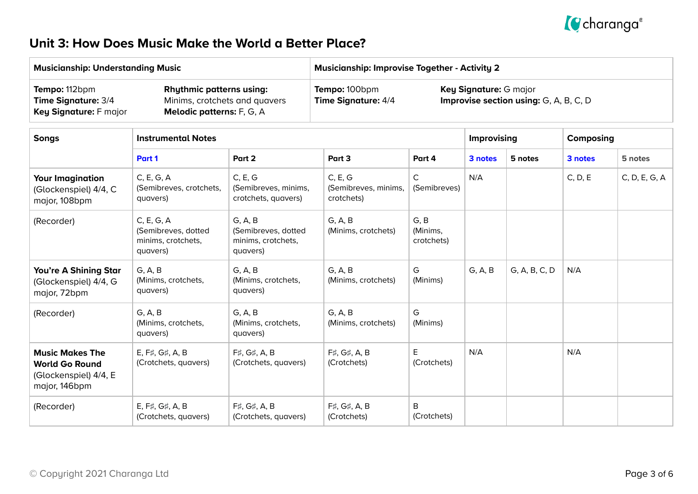

### **Unit 3: How Does Music Make the World a Better Place?**

|                                                                                           | <b>Musicianship: Understanding Music</b>                                                      |                                                                  | <b>Musicianship: Improvise Together - Activity 2</b>                                                     |                                |             |               |           |               |  |  |
|-------------------------------------------------------------------------------------------|-----------------------------------------------------------------------------------------------|------------------------------------------------------------------|----------------------------------------------------------------------------------------------------------|--------------------------------|-------------|---------------|-----------|---------------|--|--|
| Tempo: 112bpm<br>Time Signature: 3/4<br>Key Signature: F major                            | <b>Rhythmic patterns using:</b><br>Minims, crotchets and quavers<br>Melodic patterns: F, G, A |                                                                  | Tempo: 100bpm<br>Key Signature: G major<br>Time Signature: 4/4<br>Improvise section using: G, A, B, C, D |                                |             |               |           |               |  |  |
| <b>Songs</b>                                                                              | <b>Instrumental Notes</b>                                                                     |                                                                  |                                                                                                          |                                | Improvising |               | Composing |               |  |  |
|                                                                                           | Part 1                                                                                        | Part 2                                                           | Part 3                                                                                                   | Part 4                         | 3 notes     | 5 notes       | 3 notes   | 5 notes       |  |  |
| <b>Your Imagination</b><br>(Glockenspiel) 4/4, C<br>major, 108bpm                         | C, E, G, A<br>(Semibreves, crotchets,<br>quavers)                                             | C, E, G<br>(Semibreves, minims,<br>crotchets, quavers)           | C, E, G<br>(Semibreves, minims,<br>crotchets)                                                            | C<br>(Semibreves)              | N/A         |               | C, D, E   | C, D, E, G, A |  |  |
| (Recorder)                                                                                | C, E, G, A<br>(Semibreves, dotted<br>minims, crotchets,<br>quavers)                           | G, A, B<br>(Semibreves, dotted<br>minims, crotchets,<br>quavers) | G, A, B<br>(Minims, crotchets)                                                                           | G, B<br>(Minims,<br>crotchets) |             |               |           |               |  |  |
| You're A Shining Star<br>(Glockenspiel) 4/4, G<br>major, 72bpm                            | G, A, B<br>(Minims, crotchets,<br>quavers)                                                    | G, A, B<br>(Minims, crotchets,<br>quavers)                       | G, A, B<br>(Minims, crotchets)                                                                           | G<br>(Minims)                  | G, A, B     | G, A, B, C, D | N/A       |               |  |  |
| (Recorder)                                                                                | G, A, B<br>(Minims, crotchets,<br>quavers)                                                    | G, A, B<br>(Minims, crotchets,<br>quavers)                       | G, A, B<br>(Minims, crotchets)                                                                           | G<br>(Minims)                  |             |               |           |               |  |  |
| <b>Music Makes The</b><br><b>World Go Round</b><br>(Glockenspiel) 4/4, E<br>major, 146bpm | E, F#, G#, A, B<br>(Crotchets, quavers)                                                       | F#, G#, A, B<br>(Crotchets, quavers)                             | F#, G#, A, B<br>(Crotchets)                                                                              | E<br>(Crotchets)               | N/A         |               | N/A       |               |  |  |
| (Recorder)                                                                                | E, F#, G#, A, B<br>(Crotchets, quavers)                                                       | F#, G#, A, B<br>(Crotchets, quavers)                             | F#, G#, A, B<br>(Crotchets)                                                                              | B<br>(Crotchets)               |             |               |           |               |  |  |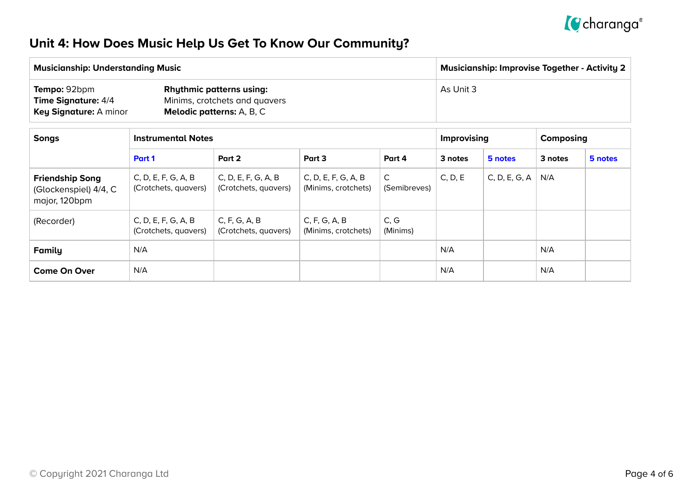

## **Unit 4: How Does Music Help Us Get To Know Our Community?**

| <b>Musicianship: Understanding Music</b>                             |                                                                                                      | <b>Musicianship: Improvise Together - Activity 2</b> |  |  |  |  |
|----------------------------------------------------------------------|------------------------------------------------------------------------------------------------------|------------------------------------------------------|--|--|--|--|
| Tempo: 92bpm<br>Time Signature: 4/4<br><b>Key Signature: A minor</b> | <b>Rhythmic patterns using:</b><br>Minims, crotchets and quavers<br><b>Melodic patterns:</b> A, B, C | As Unit 3                                            |  |  |  |  |

| <b>Songs</b>                                                     |                                             | <b>Instrumental Notes</b>                   |                                            |                   |         |               | Composing |         |
|------------------------------------------------------------------|---------------------------------------------|---------------------------------------------|--------------------------------------------|-------------------|---------|---------------|-----------|---------|
|                                                                  | Part 1                                      | Part 2                                      | Part 3                                     | Part 4            | 3 notes | 5 notes       | 3 notes   | 5 notes |
| <b>Friendship Song</b><br>(Glockenspiel) 4/4, C<br>major, 120bpm | C, D, E, F, G, A, B<br>(Crotchets, quavers) | C, D, E, F, G, A, B<br>(Crotchets, quavers) | C, D, E, F, G, A, B<br>(Minims, crotchets) | C<br>(Semibreves) | C, D, E | C, D, E, G, A | N/A       |         |
| (Recorder)                                                       | C, D, E, F, G, A, B<br>(Crotchets, quavers) | C, F, G, A, B<br>(Crotchets, quavers)       | C, F, G, A, B<br>(Minims, crotchets)       | C, G<br>(Minims)  |         |               |           |         |
| <b>Family</b>                                                    | N/A                                         |                                             |                                            |                   | N/A     |               | N/A       |         |
| <b>Come On Over</b>                                              | N/A                                         |                                             |                                            |                   | N/A     |               | N/A       |         |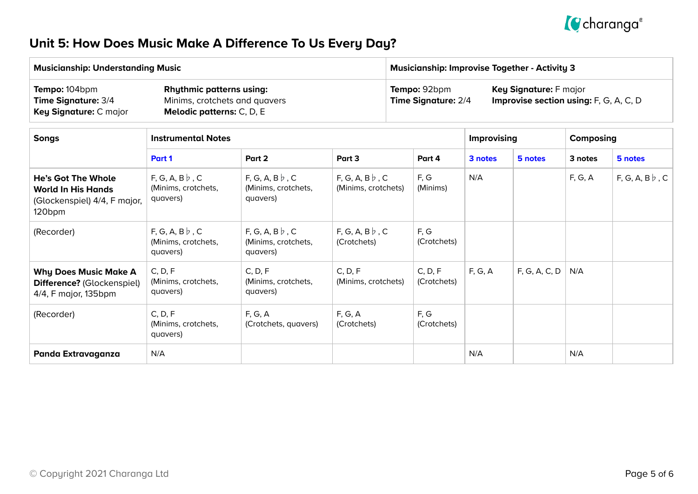

## **Unit 5: How Does Music Make A Difference To Us Every Day?**

|                                                                                                  | <b>Musicianship: Understanding Music</b>                                                      |                                                         |                                             | <b>Musicianship: Improvise Together - Activity 3</b>                                                           |                        |                    |               |         |                      |  |
|--------------------------------------------------------------------------------------------------|-----------------------------------------------------------------------------------------------|---------------------------------------------------------|---------------------------------------------|----------------------------------------------------------------------------------------------------------------|------------------------|--------------------|---------------|---------|----------------------|--|
| Tempo: 104bpm<br>Time Signature: 3/4<br>Key Signature: C major                                   | <b>Rhythmic patterns using:</b><br>Minims, crotchets and quavers<br>Melodic patterns: C, D, E |                                                         |                                             | Tempo: 92bpm<br>Key Signature: F major<br>Improvise section using: F, G, A, C, D<br><b>Time Signature: 2/4</b> |                        |                    |               |         |                      |  |
| <b>Songs</b>                                                                                     | <b>Instrumental Notes</b>                                                                     |                                                         |                                             |                                                                                                                |                        | <b>Improvising</b> | Composing     |         |                      |  |
|                                                                                                  | Part 1                                                                                        | Part 2                                                  | Part 3<br>Part 4                            |                                                                                                                |                        | 3 notes            | 5 notes       | 3 notes | 5 notes              |  |
| <b>He's Got The Whole</b><br><b>World In His Hands</b><br>(Glockenspiel) 4/4, F major,<br>120bpm | $F, G, A, B \nmid c$<br>(Minims, crotchets,<br>quavers)                                       | $F, G, A, B \nmid c$<br>(Minims, crotchets,<br>quavers) | $F, G, A, B \nmid c$<br>(Minims, crotchets) |                                                                                                                | F, G<br>(Minims)       | N/A                |               | F, G, A | $F, G, A, B \nmid c$ |  |
| (Recorder)                                                                                       | $F, G, A, B \, \flat, C$<br>(Minims, crotchets,<br>quavers)                                   | $F, G, A, B \nmid c$<br>(Minims, crotchets,<br>quavers) | $F, G, A, B \, \flat, C$<br>(Crotchets)     |                                                                                                                | F, G<br>(Crotchets)    |                    |               |         |                      |  |
| <b>Why Does Music Make A</b><br>Difference? (Glockenspiel)<br>4/4, F major, 135bpm               | C, D, F<br>(Minims, crotchets,<br>quavers)                                                    | C, D, F<br>(Minims, crotchets,<br>quavers)              | C, D, F<br>(Minims, crotchets)              |                                                                                                                | C, D, F<br>(Crotchets) | F, G, A            | F, G, A, C, D | N/A     |                      |  |
| (Recorder)                                                                                       | C, D, F<br>(Minims, crotchets,<br>quavers)                                                    | F, G, A<br>(Crotchets, quavers)                         | F, G, A<br>(Crotchets)                      |                                                                                                                | F, G<br>(Crotchets)    |                    |               |         |                      |  |
| Panda Extravaganza                                                                               | N/A                                                                                           |                                                         |                                             |                                                                                                                |                        | N/A                |               | N/A     |                      |  |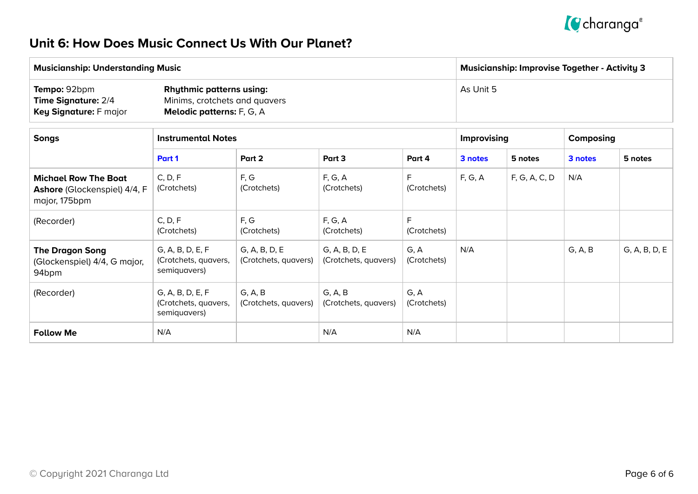

### **Unit 6: How Does Music Connect Us With Our Planet?**

| <b>Musicianship: Understanding Music</b>                                    |                                                                                                      | Musicianship: Improvise Together - Activity 3 |  |  |  |  |
|-----------------------------------------------------------------------------|------------------------------------------------------------------------------------------------------|-----------------------------------------------|--|--|--|--|
| Tempo: 92bpm<br><b>Time Signature: 2/4</b><br><b>Key Signature: F major</b> | <b>Rhythmic patterns using:</b><br>Minims, crotchets and quavers<br><b>Melodic patterns:</b> F, G, A | As Unit 5                                     |  |  |  |  |

| <b>Songs</b>                                                                        | <b>Instrumental Notes</b>                                |                                       |                                       |                     | Improvising |               | Composing |               |
|-------------------------------------------------------------------------------------|----------------------------------------------------------|---------------------------------------|---------------------------------------|---------------------|-------------|---------------|-----------|---------------|
|                                                                                     | Part 1                                                   | Part 2                                | Part 3                                | Part 4              | 3 notes     | 5 notes       | 3 notes   | 5 notes       |
| <b>Michael Row The Boat</b><br><b>Ashore</b> (Glockenspiel) 4/4, F<br>major, 175bpm | C, D, F<br>(Crotchets)                                   | F, G<br>(Crotchets)                   | F, G, A<br>(Crotchets)                | F.<br>(Crotchets)   | F, G, A     | F, G, A, C, D | N/A       |               |
| (Recorder)                                                                          | C, D, F<br>(Crotchets)                                   | F, G<br>(Crotchets)                   | F, G, A<br>(Crotchets)                | F<br>(Crotchets)    |             |               |           |               |
| <b>The Dragon Song</b><br>(Glockenspiel) 4/4, G major,<br>94 <sub>bpm</sub>         | G, A, B, D, E, F<br>(Crotchets, quavers,<br>semiquavers) | G, A, B, D, E<br>(Crotchets, quavers) | G, A, B, D, E<br>(Crotchets, quavers) | G, A<br>(Crotchets) | N/A         |               | G, A, B   | G, A, B, D, E |
| (Recorder)                                                                          | G, A, B, D, E, F<br>(Crotchets, quavers,<br>semiquavers) | G, A, B<br>(Crotchets, quavers)       | G, A, B<br>(Crotchets, quavers)       | G, A<br>(Crotchets) |             |               |           |               |
| <b>Follow Me</b>                                                                    | N/A                                                      |                                       | N/A                                   | N/A                 |             |               |           |               |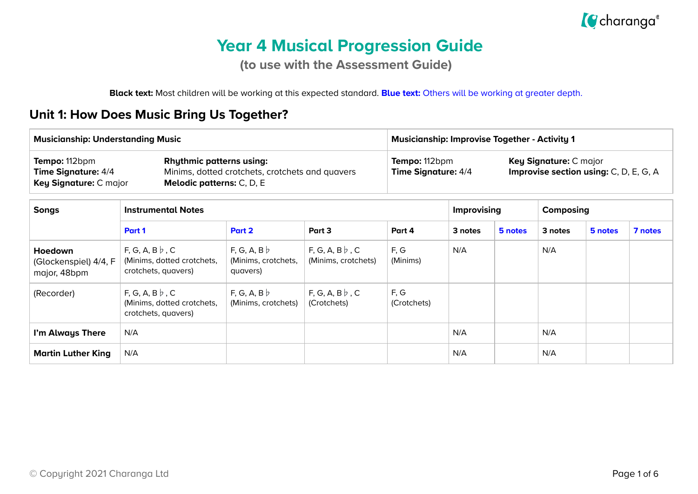

# **Year 4 Musical Progression Guide**

**(to use with the Assessment Guide)**

**Black text:** Most children will be working at this expected standard. **Blue text:** Others will be working at greater depth.

#### **Unit 1: How Does Music Bring Us Together?**

| <b>Musicianship: Understanding Music</b>                                                                                              |                                                                               |                                                 |                                                 | <b>Musicianship: Improvise Together - Activity 1</b> |                                             |         |         |                                                                         |         |  |  |
|---------------------------------------------------------------------------------------------------------------------------------------|-------------------------------------------------------------------------------|-------------------------------------------------|-------------------------------------------------|------------------------------------------------------|---------------------------------------------|---------|---------|-------------------------------------------------------------------------|---------|--|--|
| Tempo: 112bpm<br><b>Rhythmic patterns using:</b><br><b>Time Signature: 4/4</b><br>Key Signature: C major<br>Melodic patterns: C, D, E |                                                                               | Minims, dotted crotchets, crotchets and quavers |                                                 |                                                      | Tempo: 112bpm<br><b>Time Signature: 4/4</b> |         |         | Key Signature: C major<br><b>Improvise section using: C, D, E, G, A</b> |         |  |  |
| <b>Songs</b>                                                                                                                          | <b>Instrumental Notes</b>                                                     |                                                 | <b>Improvising</b>                              |                                                      | Composing                                   |         |         |                                                                         |         |  |  |
|                                                                                                                                       | Part 1                                                                        | Part 2                                          | Part 3                                          | Part 4                                               | 3 notes                                     | 5 notes | 3 notes | 5 notes                                                                 | 7 notes |  |  |
| Hoedown<br>(Glockenspiel) 4/4, F<br>major, 48bpm                                                                                      | F, G, A, B $\flat$ , C<br>(Minims, dotted crotchets,<br>crotchets, quavers)   | F, G, A, B<br>(Minims, crotchets,<br>quavers)   | $F, G, A, B \, \flat, C$<br>(Minims, crotchets) | F, G<br>(Minims)                                     | N/A                                         |         | N/A     |                                                                         |         |  |  |
| (Recorder)                                                                                                                            | $F, G, A, B \, \flat, C$<br>(Minims, dotted crotchets,<br>crotchets, quavers) | F, G, A, B<br>(Minims, crotchets)               | $F, G, A, B \, \flat, C$<br>(Crotchets)         | F, G<br>(Crotchets)                                  |                                             |         |         |                                                                         |         |  |  |
| I'm Always There                                                                                                                      | N/A                                                                           |                                                 |                                                 |                                                      | N/A                                         |         | N/A     |                                                                         |         |  |  |
| <b>Martin Luther King</b>                                                                                                             | N/A                                                                           |                                                 |                                                 |                                                      | N/A                                         |         | N/A     |                                                                         |         |  |  |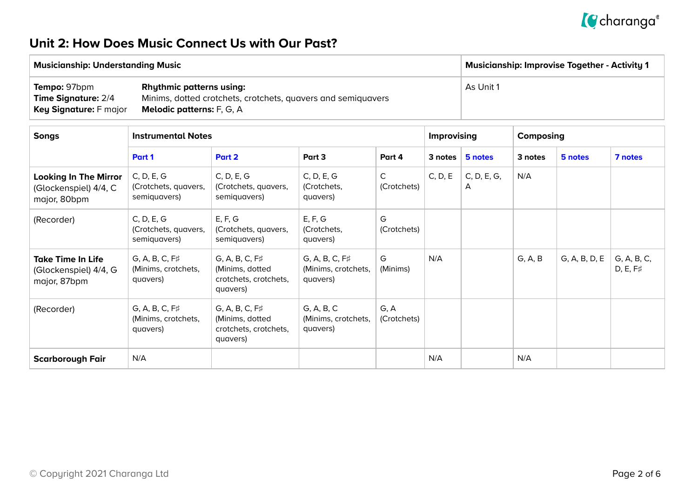

#### **Unit 2: How Does Music Connect Us with Our Past?**

| <b>Musicianship: Understanding Music</b> |                                                              | <b>Musicianship: Improvise Together - Activity 1</b> |
|------------------------------------------|--------------------------------------------------------------|------------------------------------------------------|
| <b>Tempo: 97bpm</b>                      | <b>Rhythmic patterns using:</b>                              | As Unit 1                                            |
| <b>Time Signature: 2/4</b>               | Minims, dotted crotchets, crotchets, quavers and semiquavers |                                                      |
| Key Signature: F major                   | <b>Melodic patterns:</b> F, G, A                             |                                                      |

| <b>Songs</b>                                                          | <b>Instrumental Notes</b>                                |                                                                               |                                                          |                             |         | Improvising      |         | Composing     |                         |  |
|-----------------------------------------------------------------------|----------------------------------------------------------|-------------------------------------------------------------------------------|----------------------------------------------------------|-----------------------------|---------|------------------|---------|---------------|-------------------------|--|
|                                                                       | Part 1                                                   | Part 2                                                                        | Part 3                                                   | Part 4                      | 3 notes | 5 notes          | 3 notes | 5 notes       | 7 notes                 |  |
| <b>Looking In The Mirror</b><br>(Glockenspiel) 4/4, C<br>major, 80bpm | C, D, E, G<br>(Crotchets, quavers,<br>semiquavers)       | C, D, E, G<br>(Crotchets, quavers,<br>semiquavers)                            | C, D, E, G<br>(Crotchets,<br>quavers)                    | $\mathsf{C}$<br>(Crotchets) | C, D, E | C, D, E, G,<br>A | N/A     |               |                         |  |
| (Recorder)                                                            | C, D, E, G<br>(Crotchets, quavers,<br>semiquavers)       | E, F, G<br>(Crotchets, quavers,<br>semiquavers)                               | E, F, G<br>(Crotchets,<br>quavers)                       | G<br>(Crotchets)            |         |                  |         |               |                         |  |
| <b>Take Time In Life</b><br>(Glockenspiel) 4/4, G<br>major, 87bpm     | $G, A, B, C, F\sharp$<br>(Minims, crotchets,<br>quavers) | $G, A, B, C, F\sharp$<br>(Minims, dotted<br>crotchets, crotchets,<br>quavers) | $G, A, B, C, F\sharp$<br>(Minims, crotchets,<br>quavers) | G<br>(Minims)               | N/A     |                  | G, A, B | G, A, B, D, E | G, A, B, C,<br>D, E, F# |  |
| (Recorder)                                                            | $G, A, B, C, F\sharp$<br>(Minims, crotchets,<br>quavers) | $G, A, B, C, F\sharp$<br>(Minims, dotted<br>crotchets, crotchets,<br>quavers) | G, A, B, C<br>(Minims, crotchets,<br>quavers)            | G, A<br>(Crotchets)         |         |                  |         |               |                         |  |
| <b>Scarborough Fair</b>                                               | N/A                                                      |                                                                               |                                                          |                             | N/A     |                  | N/A     |               |                         |  |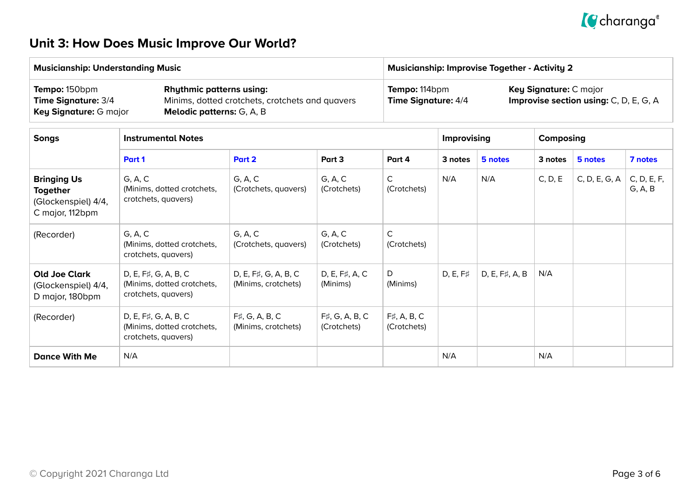

## **Unit 3: How Does Music Improve Our World?**

|                                                                                 | <b>Musicianship: Understanding Music</b>                                  |                                                 |                            |                                                                                                          | <b>Musicianship: Improvise Together - Activity 2</b> |                |         |               |                        |  |  |  |
|---------------------------------------------------------------------------------|---------------------------------------------------------------------------|-------------------------------------------------|----------------------------|----------------------------------------------------------------------------------------------------------|------------------------------------------------------|----------------|---------|---------------|------------------------|--|--|--|
| Tempo: 150bpm<br>Time Signature: 3/4<br>Key Signature: G major                  | <b>Rhythmic patterns using:</b><br>Melodic patterns: G, A, B              | Minims, dotted crotchets, crotchets and quavers |                            | Tempo: 114bpm<br>Key Signature: C major<br>Improvise section using: C, D, E, G, A<br>Time Signature: 4/4 |                                                      |                |         |               |                        |  |  |  |
| <b>Songs</b>                                                                    | <b>Instrumental Notes</b>                                                 |                                                 | <b>Improvising</b>         |                                                                                                          | Composing                                            |                |         |               |                        |  |  |  |
|                                                                                 | Part 1                                                                    | Part 2                                          | Part 3                     | Part 4                                                                                                   | 3 notes                                              | 5 notes        | 3 notes | 5 notes       | 7 notes                |  |  |  |
| <b>Bringing Us</b><br><b>Together</b><br>(Glockenspiel) 4/4,<br>C major, 112bpm | G, A, C<br>(Minims, dotted crotchets,<br>crotchets, quavers)              | G, A, C<br>(Crotchets, quavers)                 | G, A, C<br>(Crotchets)     | $\mathsf{C}$<br>(Crotchets)                                                                              | N/A                                                  | N/A            | C, D, E | C, D, E, G, A | C, D, E, F,<br>G, A, B |  |  |  |
| (Recorder)                                                                      | G, A, C<br>(Minims, dotted crotchets,<br>crotchets, quavers)              | G, A, C<br>(Crotchets, quavers)                 | G, A, C<br>(Crotchets)     | $\mathsf{C}$<br>(Crotchets)                                                                              |                                                      |                |         |               |                        |  |  |  |
| <b>Old Joe Clark</b><br>(Glockenspiel) 4/4,<br>D major, 180bpm                  | D, E, F#, G, A, B, C<br>(Minims, dotted crotchets,<br>crotchets, quavers) | D, E, F#, G, A, B, C<br>(Minims, crotchets)     | D, E, F#, A, C<br>(Minims) | D<br>(Minims)                                                                                            | $D, E, F\sharp$                                      | D, E, F#, A, B | N/A     |               |                        |  |  |  |
| (Recorder)                                                                      | D, E, F#, G, A, B, C<br>(Minims, dotted crotchets,<br>crotchets, quavers) | $F\sharp$ , A, B, C<br>(Crotchets)              |                            |                                                                                                          |                                                      |                |         |               |                        |  |  |  |
| <b>Dance With Me</b>                                                            | N/A                                                                       |                                                 |                            |                                                                                                          | N/A                                                  |                | N/A     |               |                        |  |  |  |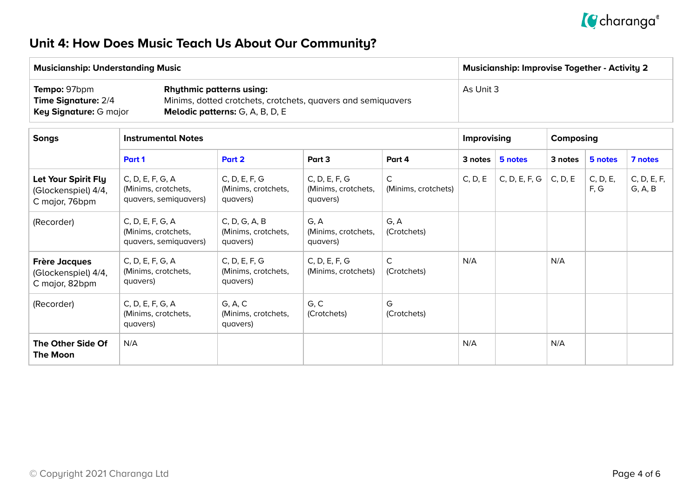

## **Unit 4: How Does Music Teach Us About Our Community?**

| <b>Musicianship: Understanding Music</b>                                    |                                                                                                                                           | <b>Musicianship: Improvise Together - Activity 2</b> |
|-----------------------------------------------------------------------------|-------------------------------------------------------------------------------------------------------------------------------------------|------------------------------------------------------|
| Tempo: 97bpm<br><b>Time Signature: 2/4</b><br><b>Key Signature: G major</b> | <b>Rhythmic patterns using:</b><br>Minims, dotted crotchets, crotchets, quavers and semiquavers<br><b>Melodic patterns:</b> G, A, B, D, E | As Unit 3                                            |

| <b>Songs</b>                                                  | <b>Instrumental Notes</b>                                        |                                                  |                                                  |                             |         | Improvising   | Composing |                  |                        |
|---------------------------------------------------------------|------------------------------------------------------------------|--------------------------------------------------|--------------------------------------------------|-----------------------------|---------|---------------|-----------|------------------|------------------------|
|                                                               | Part 1                                                           | Part 2                                           | Part 3                                           | Part 4                      | 3 notes | 5 notes       | 3 notes   | 5 notes          | 7 notes                |
| Let Your Spirit Fly<br>(Glockenspiel) 4/4,<br>C major, 76bpm  | C, D, E, F, G, A<br>(Minims, crotchets,<br>quavers, semiquavers) | C, D, E, F, G<br>(Minims, crotchets,<br>quavers) | C, D, E, F, G<br>(Minims, crotchets,<br>quavers) | C<br>(Minims, crotchets)    | C, D, E | C, D, E, F, G | C, D, E   | C, D, E,<br>F, G | C, D, E, F,<br>G, A, B |
| (Recorder)                                                    | C, D, E, F, G, A<br>(Minims, crotchets,<br>quavers, semiquavers) | C, D, G, A, B<br>(Minims, crotchets,<br>quavers) | G, A<br>(Minims, crotchets,<br>quavers)          | G, A<br>(Crotchets)         |         |               |           |                  |                        |
| <b>Frère Jacques</b><br>(Glockenspiel) 4/4,<br>C major, 82bpm | C, D, E, F, G, A<br>(Minims, crotchets,<br>quavers)              | C, D, E, F, G<br>(Minims, crotchets,<br>quavers) | C, D, E, F, G<br>(Minims, crotchets)             | $\mathsf{C}$<br>(Crotchets) | N/A     |               | N/A       |                  |                        |
| (Recorder)                                                    | C, D, E, F, G, A<br>(Minims, crotchets,<br>quavers)              | G, A, C<br>(Minims, crotchets,<br>quavers)       | G, C<br>(Crotchets)                              | G<br>(Crotchets)            |         |               |           |                  |                        |
| The Other Side Of<br><b>The Moon</b>                          | N/A                                                              |                                                  |                                                  |                             | N/A     |               | N/A       |                  |                        |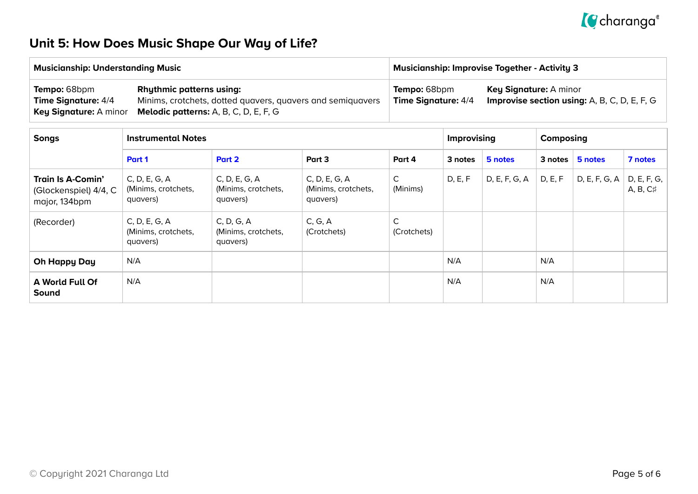

## **Unit 5: How Does Music Shape Our Way of Life?**

| <b>Musicianship: Understanding Music</b>          |                                                                                                                                                                             | <b>Musicianship: Improvise Together - Activity 3</b> |                                                                                                          |  |  |  |
|---------------------------------------------------|-----------------------------------------------------------------------------------------------------------------------------------------------------------------------------|------------------------------------------------------|----------------------------------------------------------------------------------------------------------|--|--|--|
| <b>Tempo: 68bpm</b><br><b>Time Signature: 4/4</b> | <b>Rhythmic patterns using:</b><br>Minims, crotchets, dotted quavers, quavers and semiquavers<br><b>Key Signature:</b> A minor <b>Melodic patterns:</b> A, B, C, D, E, F, G | Tempo: 68bpm<br><b>Time Signature: 4/4</b>           | <b>Key Signature: A minor</b><br><b>Improvise section using:</b> $A$ , $B$ , $C$ , $D$ , $E$ , $F$ , $G$ |  |  |  |

| <b>Songs</b>                                                | <b>Instrumental Notes</b>                        |                                                  |                                                  |                  | <b>Improvising</b> |               | Composing |               |                                |
|-------------------------------------------------------------|--------------------------------------------------|--------------------------------------------------|--------------------------------------------------|------------------|--------------------|---------------|-----------|---------------|--------------------------------|
|                                                             | Part 1                                           | Part 2                                           | Part 3                                           | Part 4           | 3 notes            | 5 notes       | 3 notes   | 5 notes       | 7 notes                        |
| Train Is A-Comin'<br>(Glockenspiel) 4/4, C<br>major, 134bpm | C, D, E, G, A<br>(Minims, crotchets,<br>quavers) | C, D, E, G, A<br>(Minims, crotchets,<br>quavers) | C, D, E, G, A<br>(Minims, crotchets,<br>quavers) | C.<br>(Minims)   | D, E, F            | D, E, F, G, A | D, E, F   | D, E, F, G, A | D, E, F, G,<br>$A, B, C\sharp$ |
| (Recorder)                                                  | C, D, E, G, A<br>(Minims, crotchets,<br>quavers) | C, D, G, A<br>(Minims, crotchets,<br>quavers)    | C, G, A<br>(Crotchets)                           | C<br>(Crotchets) |                    |               |           |               |                                |
| <b>Oh Happy Day</b>                                         | N/A                                              |                                                  |                                                  |                  | N/A                |               | N/A       |               |                                |
| A World Full Of<br>Sound                                    | N/A                                              |                                                  |                                                  |                  | N/A                |               | N/A       |               |                                |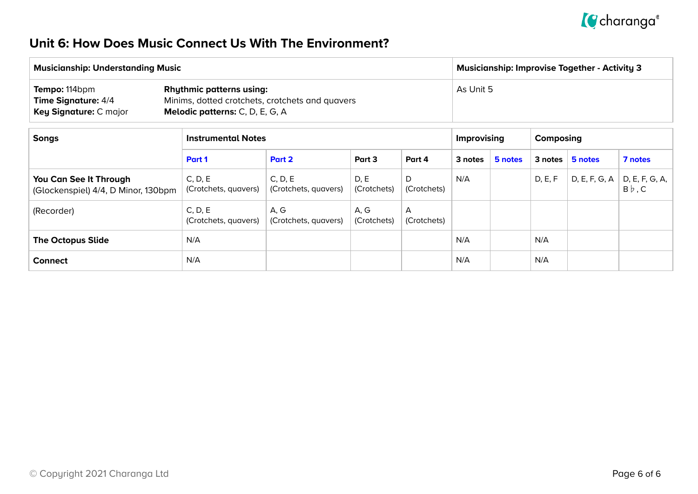

### **Unit 6: How Does Music Connect Us With The Environment?**

| <b>Musicianship: Understanding Music</b>                                     |                                                                                                                              | Musicianship: Improvise Together - Activity 3 |  |  |  |  |
|------------------------------------------------------------------------------|------------------------------------------------------------------------------------------------------------------------------|-----------------------------------------------|--|--|--|--|
| Tempo: 114bpm<br><b>Time Signature: 4/4</b><br><b>Key Signature: C major</b> | <b>Rhythmic patterns using:</b><br>Minims, dotted crotchets, crotchets and quavers<br><b>Melodic patterns:</b> C, D, E, G, A | As Unit 5                                     |  |  |  |  |

| <b>Songs</b>                                                  | <b>Instrumental Notes</b>       |                                 |                     |                  |         | <b>Improvising</b> |         | Composing     |                                |  |
|---------------------------------------------------------------|---------------------------------|---------------------------------|---------------------|------------------|---------|--------------------|---------|---------------|--------------------------------|--|
|                                                               | Part 1                          | Part 2<br>Part 3<br>Part 4      |                     |                  | 3 notes | 5 notes            | 3 notes | 5 notes       | 7 notes                        |  |
| You Can See It Through<br>(Glockenspiel) 4/4, D Minor, 130bpm | C, D, E<br>(Crotchets, quavers) | C, D, E<br>(Crotchets, quavers) | D, E<br>(Crotchets) | D<br>(Crotchets) | N/A     |                    | D, E, F | D, E, F, G, A | D, E, F, G, A,<br>$B\flat$ , C |  |
| (Recorder)                                                    | C, D, E<br>(Crotchets, quavers) | A, G<br>(Crotchets, quavers)    | A, G<br>(Crotchets) | A<br>(Crotchets) |         |                    |         |               |                                |  |
| <b>The Octopus Slide</b>                                      | N/A                             |                                 |                     |                  | N/A     |                    | N/A     |               |                                |  |
| <b>Connect</b>                                                | N/A                             |                                 |                     |                  | N/A     |                    | N/A     |               |                                |  |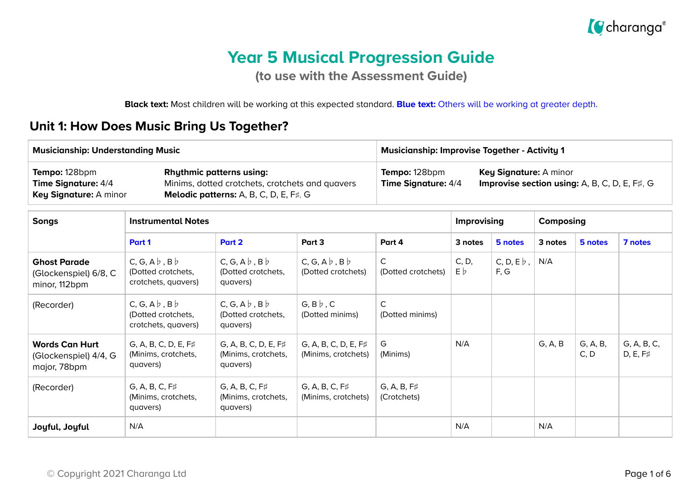

# **Year 5 Musical Progression Guide**

**(to use with the Assessment Guide)**

**Black text:** Most children will be working at this expected standard. **Blue text:** Others will be working at greater depth.

## **Unit 1: How Does Music Bring Us Together?**

| <b>Musicianship: Understanding Music</b>                                     |                                                                                                                                     | <b>Musicianship: Improvise Together - Activity 1</b> |                                                                                               |  |  |  |
|------------------------------------------------------------------------------|-------------------------------------------------------------------------------------------------------------------------------------|------------------------------------------------------|-----------------------------------------------------------------------------------------------|--|--|--|
| Tempo: 128bpm<br><b>Time Signature: 4/4</b><br><b>Key Signature: A minor</b> | <b>Rhythmic patterns using:</b><br>Minims, dotted crotchets, crotchets and quavers<br><b>Melodic patterns:</b> A, B, C, D, E, F#, G | Tempo: 128bpm<br><b>Time Signature: 4/4</b>          | <b>Key Signature: A minor</b><br><b>Improvise section using:</b> A, B, C, D, E, $F\sharp$ , G |  |  |  |

| <b>Songs</b>                                                   | <b>Instrumental Notes</b>                                                   |                                                                |                                                |                                    | <b>Improvising</b> |                                  | Composing |                  |                                |
|----------------------------------------------------------------|-----------------------------------------------------------------------------|----------------------------------------------------------------|------------------------------------------------|------------------------------------|--------------------|----------------------------------|-----------|------------------|--------------------------------|
|                                                                | Part 1                                                                      | Part 2                                                         | Part 3                                         | Part 4                             | 3 notes            | 5 notes                          | 3 notes   | 5 notes          | 7 notes                        |
| <b>Ghost Parade</b><br>(Glockenspiel) 6/8, C<br>minor, 112bpm  | $C, G, A \flat, B \flat$<br>(Dotted crotchets,<br>crotchets, quavers)       | $C, G, A \flat, B \flat$<br>(Dotted crotchets,<br>quavers)     | $C, G, A \flat, B \flat$<br>(Dotted crotchets) | $\mathsf{C}$<br>(Dotted crotchets) | C, D,<br>E b       | $C, D, E$ <sub>b</sub> ,<br>F, G | N/A       |                  |                                |
| (Recorder)                                                     | $C, G, A \, \flat, B \, \flat$<br>(Dotted crotchets,<br>crotchets, quavers) | $C, G, A \flat, B \flat$<br>(Dotted crotchets,<br>quavers)     | $G, B \triangleright, C$<br>(Dotted minims)    | C<br>(Dotted minims)               |                    |                                  |           |                  |                                |
| <b>Words Can Hurt</b><br>(Glockenspiel) 4/4, G<br>major, 78bpm | $G, A, B, C, D, E, F\sharp$<br>(Minims, crotchets,<br>quavers)              | $G, A, B, C, D, E, F\sharp$<br>(Minims, crotchets,<br>quavers) | G, A, B, C, D, E, F#<br>(Minims, crotchets)    | G<br>(Minims)                      | N/A                |                                  | G, A, B   | G, A, B,<br>C, D | G, A, B, C,<br>$D, E, F\sharp$ |
| (Recorder)                                                     | $G, A, B, C, F\sharp$<br>(Minims, crotchets,<br>quavers)                    | $G, A, B, C, F\sharp$<br>(Minims, crotchets,<br>quavers)       | $G, A, B, C, F\sharp$<br>(Minims, crotchets)   | $G, A, B, F\sharp$<br>(Crotchets)  |                    |                                  |           |                  |                                |
| Joyful, Joyful                                                 | N/A                                                                         |                                                                |                                                |                                    | N/A                |                                  | N/A       |                  |                                |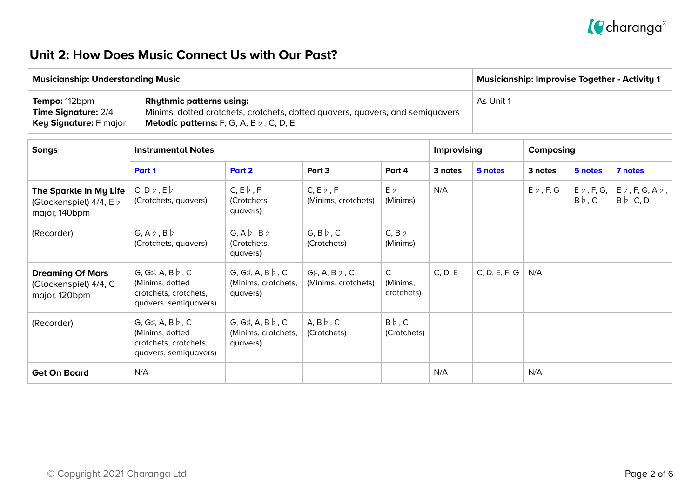

### **Unit 2: How Does Music Connect Us with Our Past?**

| <b>Musicianship: Understanding Music</b>                                     |                                                                                                                                                                           | $^{\mathrm{t}}$ Musicianship: Improvise Together - Activity 1 |
|------------------------------------------------------------------------------|---------------------------------------------------------------------------------------------------------------------------------------------------------------------------|---------------------------------------------------------------|
| Tempo: 112bpm<br><b>Time Signature: 2/4</b><br><b>Key Signature: F major</b> | <b>Rhythmic patterns using:</b><br>Minims, dotted crotchets, crotchets, dotted quavers, quavers, and semiquavers<br><b>Melodic patterns:</b> F, G, A, B $\flat$ , C, D, E | As Unit 1                                                     |

| <b>Songs</b>                                                                | <b>Instrumental Notes</b>                                                                    |                                                            |                                                     |                                        | Improvising |               | Composing        |                                            |                                                           |
|-----------------------------------------------------------------------------|----------------------------------------------------------------------------------------------|------------------------------------------------------------|-----------------------------------------------------|----------------------------------------|-------------|---------------|------------------|--------------------------------------------|-----------------------------------------------------------|
|                                                                             | Part 1                                                                                       | Part 2                                                     | Part 3                                              | Part 4                                 | 3 notes     | 5 notes       | 3 notes          | 5 notes                                    | 7 notes                                                   |
| The Sparkle In My Life<br>(Glockenspiel) $4/4$ , E $\flat$<br>major, 140bpm | $C, D\flat, E\flat$<br>(Crotchets, quavers)                                                  | $C, E \nmid F$<br>(Crotchets,<br>quavers)                  | $C, E \triangleright, F$<br>(Minims, crotchets)     | $E\flat$<br>(Minims)                   | N/A         |               | $E \flat$ , F, G | $E \triangleright$ , F, G,<br>$B\flat$ , C | $E\flat$ , F, G, A $\flat$ ,<br>$B \triangleright$ , C, D |
| (Recorder)                                                                  | $G, A \flat, B \flat$<br>(Crotchets, quavers)                                                | $G, A \flat, B \flat$<br>(Crotchets,<br>quavers)           | $G, B \flat, C$<br>(Crotchets)                      | $C, B \nmid b$<br>(Minims)             |             |               |                  |                                            |                                                           |
| <b>Dreaming Of Mars</b><br>(Glockenspiel) 4/4, C<br>major, 120bpm           | G, G#, A, B $\flat$ , C<br>(Minims, dotted<br>crotchets, crotchets,<br>quavers, semiquavers) | G, G#, A, B $\flat$ , C<br>(Minims, crotchets,<br>quavers) | $G\sharp$ , A, B $\flat$ , C<br>(Minims, crotchets) | $\mathsf{C}$<br>(Minims,<br>crotchets) | C, D, E     | C, D, E, F, G | N/A              |                                            |                                                           |
| (Recorder)                                                                  | G, G#, A, B $\flat$ , C<br>(Minims, dotted<br>crotchets, crotchets,<br>quavers, semiquavers) | G, G#, A, B $\flat$ , C<br>(Minims, crotchets,<br>quavers) | $A, B \, \flat, C$<br>(Crotchets)                   | $B\flat$ , C<br>(Crotchets)            |             |               |                  |                                            |                                                           |
| <b>Get On Board</b>                                                         | N/A                                                                                          |                                                            |                                                     |                                        | N/A         |               | N/A              |                                            |                                                           |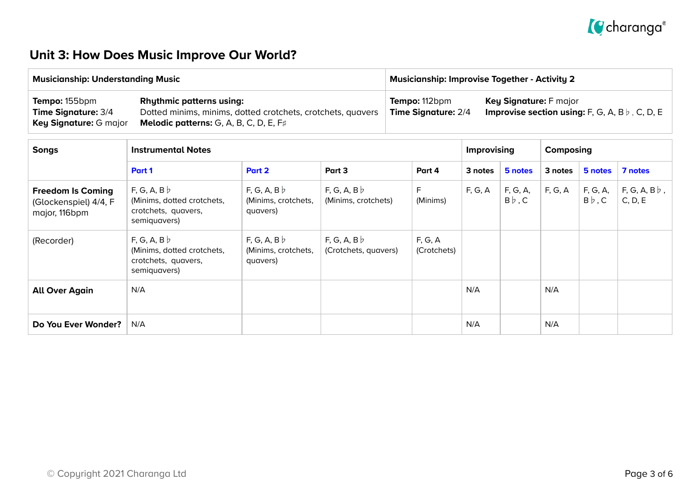

## **Unit 3: How Does Music Improve Our World?**

| <b>Musicianship: Understanding Music</b>                                     |                                                                                                                                                   | <b>Musicianship: Improvise Together - Activity 2</b> |                                                                                               |  |  |  |
|------------------------------------------------------------------------------|---------------------------------------------------------------------------------------------------------------------------------------------------|------------------------------------------------------|-----------------------------------------------------------------------------------------------|--|--|--|
| <b>Tempo:</b> 155bpm<br><b>Time Signature: 3/4</b><br>Key Signature: G major | <b>Rhythmic patterns using:</b><br>Dotted minims, minims, dotted crotchets, crotchets, quavers<br><b>Melodic patterns:</b> G, A, B, C, D, E, $F#$ | Tempo: 112bpm<br><b>Time Signature: 2/4</b>          | <b>Key Signature:</b> F major<br><b>Improvise section using:</b> F, G, A, B $\flat$ , C, D, E |  |  |  |

| <b>Songs</b>                                                       | <b>Instrumental Notes</b>                                                       |                                               |                                    |                        | Improvising |                          | Composing |                          |                                    |
|--------------------------------------------------------------------|---------------------------------------------------------------------------------|-----------------------------------------------|------------------------------------|------------------------|-------------|--------------------------|-----------|--------------------------|------------------------------------|
|                                                                    | Part 1                                                                          | Part 2                                        | Part 3                             | Part 4                 | 3 notes     | 5 notes                  | 3 notes   | 5 notes                  | 7 notes                            |
| <b>Freedom Is Coming</b><br>(Glockenspiel) 4/4, F<br>major, 116bpm | F, G, A, B<br>(Minims, dotted crotchets,<br>crotchets, quavers,<br>semiquavers) | F, G, A, B<br>(Minims, crotchets,<br>quavers) | F, G, A, B<br>(Minims, crotchets)  | F.<br>(Minims)         | F, G, A     | F, G, A,<br>$B\flat$ , C | F, G, A   | F, G, A,<br>$B\flat$ , C | $F, G, A, B \, \flat$ ,<br>C, D, E |
| (Recorder)                                                         | F, G, A, B<br>(Minims, dotted crotchets,<br>crotchets, quavers,<br>semiquavers) | F, G, A, B<br>(Minims, crotchets,<br>quavers) | F, G, A, B<br>(Crotchets, quavers) | F, G, A<br>(Crotchets) |             |                          |           |                          |                                    |
| <b>All Over Again</b>                                              | N/A                                                                             |                                               |                                    |                        | N/A         |                          | N/A       |                          |                                    |
| Do You Ever Wonder?                                                | N/A                                                                             |                                               |                                    |                        | N/A         |                          | N/A       |                          |                                    |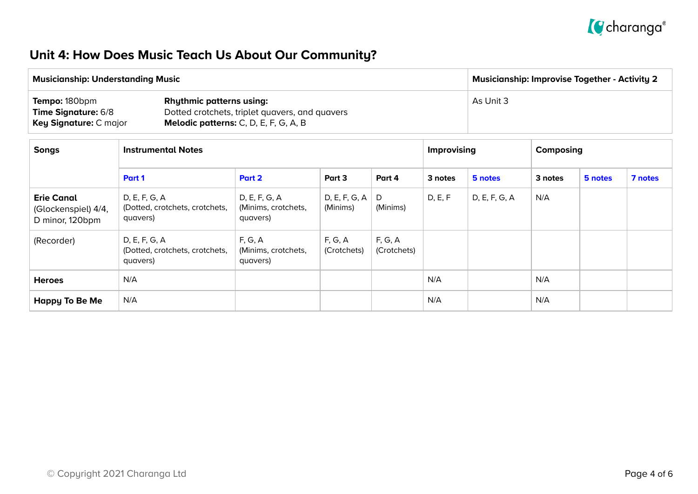

## **Unit 4: How Does Music Teach Us About Our Community?**

| <b>Musicianship: Understanding Music</b>                                            | <b>Musicianship: Improvise Together - Activity 2</b>                                                                              |           |
|-------------------------------------------------------------------------------------|-----------------------------------------------------------------------------------------------------------------------------------|-----------|
| <b>Tempo: 180bpm</b><br><b>Time Signature: 6/8</b><br><b>Key Signature: C major</b> | <b>Rhythmic patterns using:</b><br>Dotted crotchets, triplet quavers, and quavers<br><b>Melodic patterns:</b> C, D, E, F, G, A, B | As Unit 3 |

| <b>Songs</b>                                                | <b>Instrumental Notes</b>                                   |                                                  |                           |                        | <b>Improvising</b> |               | Composing |         |         |
|-------------------------------------------------------------|-------------------------------------------------------------|--------------------------------------------------|---------------------------|------------------------|--------------------|---------------|-----------|---------|---------|
|                                                             | Part 1                                                      | Part 2                                           | Part 3                    | Part 4                 | 3 notes            | 5 notes       | 3 notes   | 5 notes | 7 notes |
| <b>Erie Canal</b><br>(Glockenspiel) 4/4,<br>D minor, 120bpm | D, E, F, G, A<br>(Dotted, crotchets, crotchets,<br>quavers) | D, E, F, G, A<br>(Minims, crotchets,<br>quavers) | D, E, F, G, A<br>(Minims) | D<br>(Minims)          | D, E, F            | D, E, F, G, A | N/A       |         |         |
| (Recorder)                                                  | D, E, F, G, A<br>(Dotted, crotchets, crotchets,<br>quavers) | F, G, A<br>(Minims, crotchets,<br>quavers)       | F, G, A<br>(Crotchets)    | F, G, A<br>(Crotchets) |                    |               |           |         |         |
| <b>Heroes</b>                                               | N/A                                                         |                                                  |                           |                        | N/A                |               | N/A       |         |         |
| <b>Happy To Be Me</b>                                       | N/A                                                         |                                                  |                           |                        | N/A                |               | N/A       |         |         |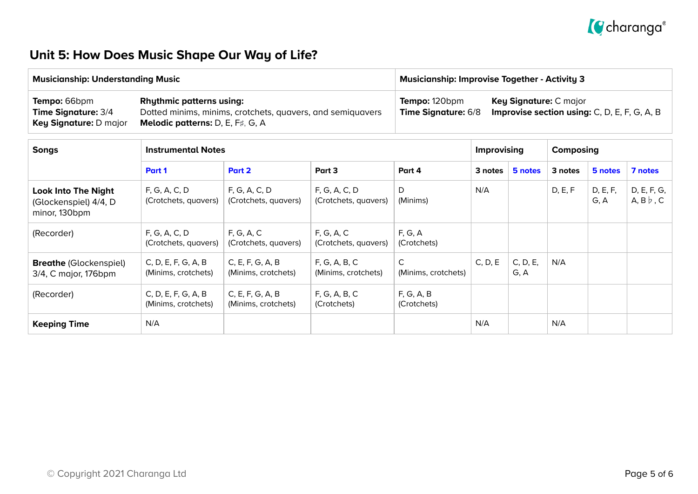

## **Unit 5: How Does Music Shape Our Way of Life?**

| <b>Musicianship: Understanding Music</b>                                    |                                                                                                                                          | <b>Musicianship: Improvise Together - Activity 3</b> |                                                                                      |  |  |
|-----------------------------------------------------------------------------|------------------------------------------------------------------------------------------------------------------------------------------|------------------------------------------------------|--------------------------------------------------------------------------------------|--|--|
| Tempo: 66bpm<br><b>Time Signature: 3/4</b><br><b>Key Signature: D major</b> | <b>Rhythmic patterns using:</b><br>Dotted minims, minims, crotchets, quavers, and semiquavers<br><b>Melodic patterns:</b> D, E, F#, G, A | Tempo: 120bpm<br><b>Time Signature: 6/8</b>          | <b>Key Signature: C major</b><br><b>Improvise section using:</b> C, D, E, F, G, A, B |  |  |

| <b>Songs</b>                                                         | <b>Instrumental Notes</b>                  |                                         |                                       |                                     |         | <b>Improvising</b> |         | Composing        |                                         |  |
|----------------------------------------------------------------------|--------------------------------------------|-----------------------------------------|---------------------------------------|-------------------------------------|---------|--------------------|---------|------------------|-----------------------------------------|--|
|                                                                      | Part 1                                     | Part 2                                  | Part 3                                | Part 4                              | 3 notes | 5 notes            | 3 notes | 5 notes          | 7 notes                                 |  |
| <b>Look Into The Night</b><br>(Glockenspiel) 4/4, D<br>minor, 130bpm | F, G, A, C, D<br>(Crotchets, quavers)      | F, G, A, C, D<br>(Crotchets, quavers)   | F, G, A, C, D<br>(Crotchets, quavers) | D<br>(Minims)                       | N/A     |                    | D, E, F | D, E, F,<br>G, A | D, E, F, G,<br>$A, B \triangleright, C$ |  |
| (Recorder)                                                           | F, G, A, C, D<br>(Crotchets, quavers)      | F, G, A, C<br>(Crotchets, quavers)      | F, G, A, C<br>(Crotchets, quavers)    | F, G, A<br>(Crotchets)              |         |                    |         |                  |                                         |  |
| <b>Breathe (Glockenspiel)</b><br>3/4, C major, 176bpm                | C, D, E, F, G, A, B<br>(Minims, crotchets) | C, E, F, G, A, B<br>(Minims, crotchets) | F, G, A, B, C<br>(Minims, crotchets)  | $\mathsf{C}$<br>(Minims, crotchets) | C, D, E | C, D, E,<br>G, A   | N/A     |                  |                                         |  |
| (Recorder)                                                           | C, D, E, F, G, A, B<br>(Minims, crotchets) | C, E, F, G, A, B<br>(Minims, crotchets) | F, G, A, B, C<br>(Crotchets)          | F, G, A, B<br>(Crotchets)           |         |                    |         |                  |                                         |  |
| <b>Keeping Time</b>                                                  | N/A                                        |                                         |                                       |                                     | N/A     |                    | N/A     |                  |                                         |  |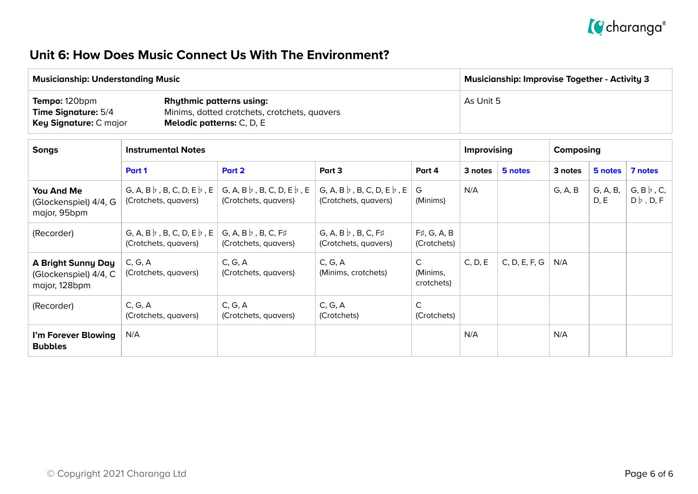

#### **Unit 6: How Does Music Connect Us With The Environment?**

| <b>Musicianship: Understanding Music</b>                                     |                                                                                                                     | <b>Musicianship: Improvise Together - Activity 3</b> |
|------------------------------------------------------------------------------|---------------------------------------------------------------------------------------------------------------------|------------------------------------------------------|
| Tempo: 120bpm<br><b>Time Signature: 5/4</b><br><b>Key Signature: C major</b> | <b>Rhythmic patterns using:</b><br>Minims, dotted crotchets, crotchets, quavers<br><b>Melodic patterns:</b> C, D, E | As Unit 5                                            |

| <b>Songs</b><br><b>Instrumental Notes</b>                           |                                                                  |                                                                  |                                                                  |                                   | <b>Improvising</b> |               | Composing |                  |                                               |
|---------------------------------------------------------------------|------------------------------------------------------------------|------------------------------------------------------------------|------------------------------------------------------------------|-----------------------------------|--------------------|---------------|-----------|------------------|-----------------------------------------------|
|                                                                     | Part 1                                                           | Part 2                                                           | Part 3                                                           | Part 4                            | 3 notes            | 5 notes       | 3 notes   | 5 notes          | 7 notes                                       |
| You And Me<br>(Glockenspiel) 4/4, G<br>major, 95bpm                 | G, A, B $\flat$ , B, C, D, E $\flat$ , E<br>(Crotchets, quavers) | G, A, B $\flat$ , B, C, D, E $\flat$ , E<br>(Crotchets, quavers) | G, A, B $\flat$ , B, C, D, E $\flat$ , E<br>(Crotchets, quavers) | G<br>(Minims)                     | N/A                |               | G, A, B   | G, A, B,<br>D, E | $G, B \triangleright, C,$<br>$D \flat$ , D, F |
| (Recorder)                                                          | G, A, B $\flat$ , B, C, D, E $\flat$ , E<br>(Crotchets, quavers) | $G, A, B \, \flat$ , B, C, F#<br>(Crotchets, quavers)            | $G, A, B \, b$ , B, C, F#<br>(Crotchets, quavers)                | $F\sharp, G, A, B$<br>(Crotchets) |                    |               |           |                  |                                               |
| <b>A Bright Sunny Day</b><br>(Glockenspiel) 4/4, C<br>major, 128bpm | C, G, A<br>(Crotchets, quavers)                                  | C, G, A<br>(Crotchets, quavers)                                  | C, G, A<br>(Minims, crotchets)                                   | C<br>(Minims,<br>crotchets)       | C, D, E            | C, D, E, F, G | N/A       |                  |                                               |
| (Recorder)                                                          | C, G, A<br>(Crotchets, quavers)                                  | C, G, A<br>(Crotchets, quavers)                                  | C, G, A<br>(Crotchets)                                           | $\mathsf{C}$<br>(Crotchets)       |                    |               |           |                  |                                               |
| I'm Forever Blowing<br><b>Bubbles</b>                               | N/A                                                              |                                                                  |                                                                  |                                   | N/A                |               | N/A       |                  |                                               |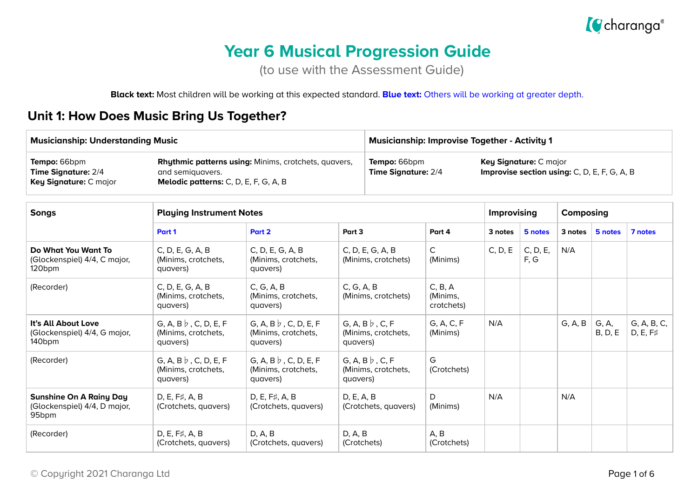

# **Year 6 Musical Progression Guide**

(to use with the Assessment Guide)

**Black text:** Most children will be working at this expected standard. **Blue text:** Others will be working at greater depth.

#### **Unit 1: How Does Music Bring Us Together?**

| <b>Musicianship: Understanding Music</b>                                                                                                                                           |                                                                 |                                                                 | <b>Musicianship: Improvise Together - Activity 1</b> |                                                                        |                                   |         |                    |         |                          |                                |
|------------------------------------------------------------------------------------------------------------------------------------------------------------------------------------|-----------------------------------------------------------------|-----------------------------------------------------------------|------------------------------------------------------|------------------------------------------------------------------------|-----------------------------------|---------|--------------------|---------|--------------------------|--------------------------------|
| Rhythmic patterns using: Minims, crotchets, quavers,<br>Tempo: 66bpm<br>Time Signature: 2/4<br>and semiguavers.<br>Key Signature: C major<br>Melodic patterns: C, D, E, F, G, A, B |                                                                 | Tempo: 66bpm<br>Time Signature: 2/4                             |                                                      | Key Signature: C major<br>Improvise section using: C, D, E, F, G, A, B |                                   |         |                    |         |                          |                                |
| <b>Songs</b>                                                                                                                                                                       | <b>Playing Instrument Notes</b>                                 |                                                                 |                                                      |                                                                        |                                   |         | <b>Improvising</b> |         | Composing                |                                |
|                                                                                                                                                                                    | Part 1                                                          | Part 2                                                          | Part 3                                               |                                                                        | Part 4                            | 3 notes | 5 notes            | 3 notes | 5 notes                  | 7 notes                        |
| Do What You Want To<br>(Glockenspiel) 4/4, C major,<br>120 <sub>bpm</sub>                                                                                                          | C, D, E, G, A, B<br>(Minims, crotchets,<br>quavers)             | C, D, E, G, A, B<br>(Minims, crotchets,<br>quavers)             |                                                      | C, D, E, G, A, B<br>(Minims, crotchets)                                | $\mathsf{C}$<br>(Minims)          | C, D, E | C, D, E,<br>F, G   | N/A     |                          |                                |
| (Recorder)                                                                                                                                                                         | C, D, E, G, A, B<br>(Minims, crotchets,<br>quavers)             | C, G, A, B<br>(Minims, crotchets,<br>quavers)                   | C, G, A, B                                           | (Minims, crotchets)                                                    | C, B, A<br>(Minims,<br>crotchets) |         |                    |         |                          |                                |
| It's All About Love<br>(Glockenspiel) 4/4, G major,<br>140 <sub>bpm</sub>                                                                                                          | G, A, B $\flat$ , C, D, E, F<br>(Minims, crotchets,<br>quavers) | G, A, B $\flat$ , C, D, E, F<br>(Minims, crotchets,<br>quavers) | quavers)                                             | G, A, B $\flat$ , C, F<br>(Minims, crotchets,                          | G, A, C, F<br>(Minims)            | N/A     |                    | G, A, B | G, A,<br><b>B</b> , D, E | G, A, B, C,<br>$D, E, F\sharp$ |
| (Recorder)                                                                                                                                                                         | G, A, B $\flat$ , C, D, E, F<br>(Minims, crotchets,<br>quavers) | G, A, B $\flat$ , C, D, E, F<br>(Minims, crotchets,<br>quavers) | quavers)                                             | G, A, B $\flat$ , C, F<br>(Minims, crotchets,                          | G<br>(Crotchets)                  |         |                    |         |                          |                                |
| <b>Sunshine On A Rainy Day</b><br>(Glockenspiel) 4/4, D major,<br>95 <sub>bpm</sub>                                                                                                | D, E, F#, A, B<br>(Crotchets, quavers)                          | D, E, F#, A, B<br>(Crotchets, quavers)                          | D, E, A, B                                           | (Crotchets, quavers)                                                   | D<br>(Minims)                     | N/A     |                    | N/A     |                          |                                |
| (Recorder)                                                                                                                                                                         | D, E, F#, A, B<br>(Crotchets, quavers)                          | D, A, B<br>(Crotchets, quavers)                                 | D, A, B                                              | (Crotchets)                                                            | A, B<br>(Crotchets)               |         |                    |         |                          |                                |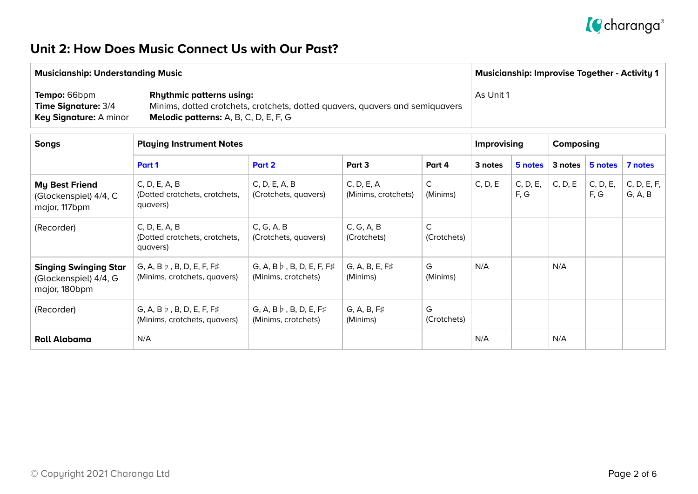

### **Unit 2: How Does Music Connect Us with Our Past?**

| <b>Musicianship: Understanding Music</b>                                           |                                                                                                                                                                 | <b>Musicianship: Improvise Together - Activity 1</b> |
|------------------------------------------------------------------------------------|-----------------------------------------------------------------------------------------------------------------------------------------------------------------|------------------------------------------------------|
| <b>Tempo: 66bpm</b><br><b>Time Signature: 3/4</b><br><b>Key Signature: A minor</b> | <b>Rhythmic patterns using:</b><br>Minims, dotted crotchets, crotchets, dotted quavers, quavers and semiquavers<br><b>Melodic patterns:</b> A, B, C, D, E, F, G | As Unit 1                                            |

| <b>Songs</b>                                                           | <b>Playing Instrument Notes</b>                                  |                                                         |                                   |                             | Improvising |                  | Composing |                  |                        |
|------------------------------------------------------------------------|------------------------------------------------------------------|---------------------------------------------------------|-----------------------------------|-----------------------------|-------------|------------------|-----------|------------------|------------------------|
|                                                                        | Part 1                                                           | Part 2                                                  | Part 3                            | Part 4                      | 3 notes     | 5 notes          | 3 notes   | 5 notes          | 7 notes                |
| <b>My Best Friend</b><br>(Glockenspiel) 4/4, C<br>major, 117bpm        | C, D, E, A, B<br>(Dotted crotchets, crotchets,<br>quavers)       | C, D, E, A, B<br>(Crotchets, quavers)                   | C, D, E, A<br>(Minims, crotchets) | $\mathsf{C}$<br>(Minims)    | C, D, E     | C, D, E,<br>F, G | C, D, E   | C, D, E,<br>F, G | C, D, E, F,<br>G, A, B |
| (Recorder)                                                             | C, D, E, A, B<br>(Dotted crotchets, crotchets,<br>quavers)       | C, G, A, B<br>(Crotchets, quavers)                      | C, G, A, B<br>(Crotchets)         | $\mathsf{C}$<br>(Crotchets) |             |                  |           |                  |                        |
| <b>Singing Swinging Star</b><br>(Glockenspiel) 4/4, G<br>major, 180bpm | G, A, B $\flat$ , B, D, E, F, F#<br>(Minims, crotchets, quavers) | G, A, B $\flat$ , B, D, E, F, F#<br>(Minims, crotchets) | $G, A, B, E, F\sharp$<br>(Minims) | G<br>(Minims)               | N/A         |                  | N/A       |                  |                        |
| (Recorder)                                                             | G, A, B $\flat$ , B, D, E, F, F#<br>(Minims, crotchets, quavers) | G, A, B $\flat$ , B, D, E, F#<br>(Minims, crotchets)    | G, A, B, F#<br>(Minims)           | G<br>(Crotchets)            |             |                  |           |                  |                        |
| <b>Roll Alabama</b>                                                    | N/A                                                              |                                                         |                                   |                             | N/A         |                  | N/A       |                  |                        |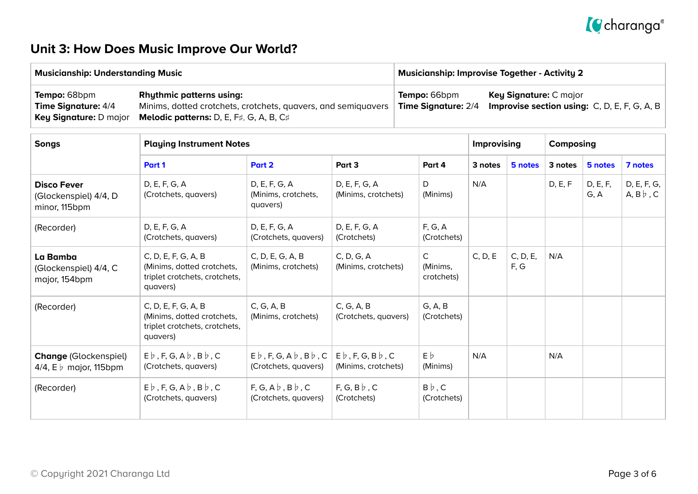# *g* charanga<sup>®</sup>

## **Unit 3: How Does Music Improve Our World?**

| <b>Musicianship: Understanding Music</b>                                           |                                                                                                                                                    | <b>Musicianship: Improvise Together - Activity 2</b> |                                                                                        |  |  |
|------------------------------------------------------------------------------------|----------------------------------------------------------------------------------------------------------------------------------------------------|------------------------------------------------------|----------------------------------------------------------------------------------------|--|--|
| <b>Tempo: 68bpm</b><br><b>Time Signature: 4/4</b><br><b>Key Signature: D major</b> | <b>Rhythmic patterns using:</b><br>Minims, dotted crotchets, crotchets, quavers, and semiquavers<br><b>Melodic patterns:</b> D, E, F#, G, A, B, C# | Tempo: 66bpm<br>Time Signature: 2/4                  | <b>Key Signature: C major</b><br><b>Improvise section using:</b> $C, D, E, F, G, A, B$ |  |  |

| <b>Songs</b><br><b>Playing Instrument Notes</b>                       |                                                                                                |                                                                               |                                                       |                                        | <b>Improvising</b> |                  | Composing |                  |                                   |
|-----------------------------------------------------------------------|------------------------------------------------------------------------------------------------|-------------------------------------------------------------------------------|-------------------------------------------------------|----------------------------------------|--------------------|------------------|-----------|------------------|-----------------------------------|
|                                                                       | Part 1                                                                                         | Part 2                                                                        | Part 3                                                | Part 4                                 | 3 notes            | 5 notes          | 3 notes   | 5 notes          | 7 notes                           |
| <b>Disco Fever</b><br>(Glockenspiel) 4/4, D<br>minor, 115bpm          | D, E, F, G, A<br>(Crotchets, quavers)                                                          | D, E, F, G, A<br>(Minims, crotchets,<br>quavers)                              | D, E, F, G, A<br>(Minims, crotchets)                  | D<br>(Minims)                          | N/A                |                  | D, E, F   | D, E, F,<br>G, A | D, E, F, G,<br>$A, B \, \flat, C$ |
| (Recorder)                                                            | D, E, F, G, A<br>(Crotchets, quavers)                                                          | D, E, F, G, A<br>(Crotchets, quavers)                                         | D, E, F, G, A<br>(Crotchets)                          | F, G, A<br>(Crotchets)                 |                    |                  |           |                  |                                   |
| La Bamba<br>(Glockenspiel) 4/4, C<br>major, 154bpm                    | C, D, E, F, G, A, B<br>(Minims, dotted crotchets,<br>triplet crotchets, crotchets,<br>quavers) | C, D, E, G, A, B<br>(Minims, crotchets)                                       | C, D, G, A<br>(Minims, crotchets)                     | $\mathsf{C}$<br>(Minims,<br>crotchets) | C, D, E            | C, D, E,<br>F, G | N/A       |                  |                                   |
| (Recorder)                                                            | C, D, E, F, G, A, B<br>(Minims, dotted crotchets,<br>triplet crotchets, crotchets,<br>quavers) | C, G, A, B<br>(Minims, crotchets)                                             | C, G, A, B<br>(Crotchets, quavers)                    | G, A, B<br>(Crotchets)                 |                    |                  |           |                  |                                   |
| <b>Change (Glockenspiel)</b><br>4/4, $E \triangleright$ major, 115bpm | $E\flat$ , F, G, A $\flat$ , B $\flat$ , C<br>(Crotchets, quavers)                             | $E\flat$ , F, G, A $\flat$ , B $\flat$ , C<br>(Crotchets, quavers)            | $E\flat$ , F, G, B $\flat$ , C<br>(Minims, crotchets) | $E\phi$<br>(Minims)                    | N/A                |                  | N/A       |                  |                                   |
| (Recorder)                                                            | $E\flat$ , F, G, A $\flat$ , B $\flat$ , C<br>(Crotchets, quavers)                             | $F, G, A \not\triangleright, B \not\triangleright, C$<br>(Crotchets, quavers) | F, G, B $\flat$ , C<br>(Crotchets)                    | $B\flat$ , C<br>(Crotchets)            |                    |                  |           |                  |                                   |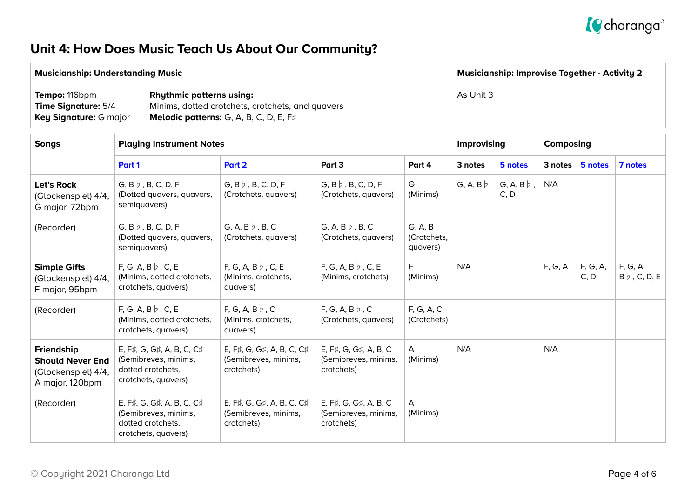

## **Unit 4: How Does Music Teach Us About Our Community?**

| <b>Musicianship: Understanding Music</b>                                            |                                                                                                                                             | <b>Musicianship: Improvise Together - Activity 2</b> |
|-------------------------------------------------------------------------------------|---------------------------------------------------------------------------------------------------------------------------------------------|------------------------------------------------------|
| <b>Tempo:</b> 116bpm<br><b>Time Signature: 5/4</b><br><b>Key Signature: G major</b> | <b>Rhythmic patterns using:</b><br>Minims, dotted crotchets, crotchets, and quavers<br><b>Melodic patterns:</b> G, A, B, C, D, E, $F\sharp$ | As Unit 3                                            |

| <b>Songs</b>                                                                    | <b>Playing Instrument Notes</b>                                                               |                                                                 |                                                             |                                    |                 | <b>Improvising</b>        |         | Composing        |                                 |  |
|---------------------------------------------------------------------------------|-----------------------------------------------------------------------------------------------|-----------------------------------------------------------------|-------------------------------------------------------------|------------------------------------|-----------------|---------------------------|---------|------------------|---------------------------------|--|
|                                                                                 | Part 1                                                                                        | Part 2                                                          | Part 3<br>Part 4                                            |                                    | 3 notes         | 5 notes                   | 3 notes | 5 notes          | 7 notes                         |  |
| Let's Rock<br>(Glockenspiel) 4/4,<br>G major, 72bpm                             | $G, B \mid b, B, C, D, F$<br>(Dotted quavers, quavers,<br>semiquavers)                        | $G, B \nmid B, C, D, F$<br>(Crotchets, quavers)                 | $G, B \mid b, B, C, D, F$<br>(Crotchets, quavers)           | G<br>(Minims)                      | G, A, B $\flat$ | $G, A, B \nmid$ ,<br>C, D | N/A     |                  |                                 |  |
| (Recorder)                                                                      | $G, B \mid b, B, C, D, F$<br>(Dotted quavers, quavers,<br>semiquavers)                        | G, A, B $\flat$ , B, C<br>(Crotchets, quavers)                  | G, A, B $\flat$ , B, C<br>(Crotchets, quavers)              | G, A, B<br>(Crotchets,<br>quavers) |                 |                           |         |                  |                                 |  |
| <b>Simple Gifts</b><br>(Glockenspiel) 4/4,<br>F major, 95bpm                    | $F, G, A, B \nmid c, E$<br>(Minims, dotted crotchets,<br>crotchets, quavers)                  | $F, G, A, B \nmid c, E$<br>(Minims, crotchets,<br>quavers)      | $F, G, A, B \nmid c, E$<br>(Minims, crotchets)              | F.<br>(Minims)                     | N/A             |                           | F, G, A | F, G, A,<br>C, D | F, G, A,<br>$B \flat$ , C, D, E |  |
| (Recorder)                                                                      | $F, G, A, B \, \flat, C, E$<br>(Minims, dotted crotchets,<br>crotchets, quavers)              | $F, G, A, B \, \flat, C$<br>(Minims, crotchets,<br>quavers)     | $F, G, A, B \nmid c$<br>(Crotchets, quavers)                | F, G, A, C<br>(Crotchets)          |                 |                           |         |                  |                                 |  |
| Friendship<br><b>Should Never End</b><br>(Glockenspiel) 4/4,<br>A major, 120bpm | E, F#, G, G#, A, B, C, C#<br>(Semibreves, minims,<br>dotted crotchets,<br>crotchets, quavers) | E, F#, G, G#, A, B, C, C#<br>(Semibreves, minims,<br>crotchets) | E, F#, G, G#, A, B, C<br>(Semibreves, minims,<br>crotchets) | $\mathsf{A}$<br>(Minims)           | N/A             |                           | N/A     |                  |                                 |  |
| (Recorder)                                                                      | E, F#, G, G#, A, B, C, C#<br>(Semibreves, minims,<br>dotted crotchets,<br>crotchets, quavers) | E, F#, G, G#, A, B, C, C#<br>(Semibreves, minims,<br>crotchets) | E, F#, G, G#, A, B, C<br>(Semibreves, minims,<br>crotchets) | $\mathsf{A}$<br>(Minims)           |                 |                           |         |                  |                                 |  |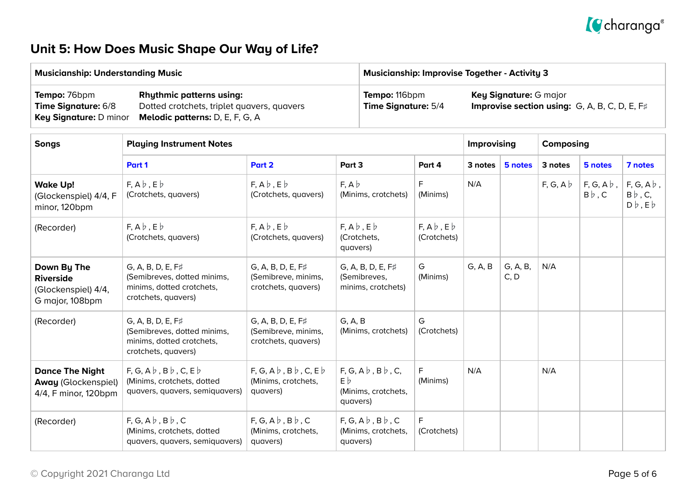

## **Unit 5: How Does Music Shape Our Way of Life?**

quavers, quavers, semiquavers)

quavers)

| <b>Musicianship: Understanding Music</b>                                                                                                                                          |                                                                                                             |                                                                            | <b>Musicianship: Improvise Together - Activity 3</b>                                                            |                                                  |                                      |           |                  |                 |                                       |                                                               |
|-----------------------------------------------------------------------------------------------------------------------------------------------------------------------------------|-------------------------------------------------------------------------------------------------------------|----------------------------------------------------------------------------|-----------------------------------------------------------------------------------------------------------------|--------------------------------------------------|--------------------------------------|-----------|------------------|-----------------|---------------------------------------|---------------------------------------------------------------|
| <b>Rhythmic patterns using:</b><br>Tempo: 76bpm<br>Time Signature: 6/8<br>Dotted crotchets, triplet quavers, quavers<br>Key Signature: D minor<br>Melodic patterns: D, E, F, G, A |                                                                                                             |                                                                            | Tempo: 116bpm<br>Key Signature: G major<br>Improvise section using: G, A, B, C, D, E, F#<br>Time Signature: 5/4 |                                                  |                                      |           |                  |                 |                                       |                                                               |
| <b>Songs</b>                                                                                                                                                                      | <b>Playing Instrument Notes</b>                                                                             |                                                                            |                                                                                                                 | <b>Improvising</b>                               |                                      | Composing |                  |                 |                                       |                                                               |
|                                                                                                                                                                                   | Part 2<br>Part 1                                                                                            |                                                                            | Part 3                                                                                                          |                                                  | Part 4                               | 3 notes   | 5 notes          | 3 notes         | 5 notes                               | 7 notes                                                       |
| <b>Wake Up!</b><br>(Glockenspiel) 4/4, F<br>minor, 120bpm                                                                                                                         | $F, A \flat, E \flat$<br>(Crotchets, quavers)                                                               | $F, A \flat, E \flat$<br>(Crotchets, quavers)                              | $F, A \nmid$<br>(Minims, crotchets)                                                                             |                                                  | F<br>(Minims)                        | N/A       |                  | $F, G, A \nmid$ | $F, G, A \, \flat$ ,<br>$B \flat$ , C | $F, G, A \, \flat$ ,<br>$B \flat$ , C,<br>$D\flat$ , $E\flat$ |
| (Recorder)                                                                                                                                                                        | $F, A \flat, E \flat$<br>(Crotchets, quavers)                                                               | $F, A \flat, E \flat$<br>(Crotchets, quavers)                              | $F, A \flat, E \flat$<br>(Crotchets,<br>quavers)                                                                |                                                  | $F, A \flat, E \flat$<br>(Crotchets) |           |                  |                 |                                       |                                                               |
| Down By The<br><b>Riverside</b><br>(Glockenspiel) 4/4,<br>G major, 108bpm                                                                                                         | $G, A, B, D, E, F\sharp$<br>(Semibreves, dotted minims,<br>minims, dotted crotchets,<br>crotchets, quavers) | G, A, B, D, E, F#<br>(Semibreve, minims,<br>crotchets, quavers)            | G, A, B, D, E, F#<br>(Semibreves,<br>minims, crotchets)                                                         |                                                  | G<br>(Minims)                        | G, A, B   | G, A, B,<br>C, D | N/A             |                                       |                                                               |
| (Recorder)                                                                                                                                                                        | $G, A, B, D, E, F\sharp$<br>(Semibreves, dotted minims,<br>minims, dotted crotchets,<br>crotchets, quavers) | G, A, B<br>G, A, B, D, E, F#<br>(Semibreve, minims,<br>crotchets, quavers) |                                                                                                                 | (Minims, crotchets)                              | G<br>(Crotchets)                     |           |                  |                 |                                       |                                                               |
| <b>Dance The Night</b><br><b>Away (Glockenspiel)</b><br>4/4, F minor, 120bpm                                                                                                      | $F, G, A \flat, B \flat, C, E \flat$<br>(Minims, crotchets, dotted<br>quavers, quavers, semiquavers)        | $F, G, A \flat, B \flat, C, E \flat$<br>(Minims, crotchets,<br>quavers)    | $F, G, A \flat, B \flat, C,$<br>$E\flat$<br>(Minims, crotchets,<br>quavers)                                     |                                                  | F<br>(Minims)                        | N/A       |                  | N/A             |                                       |                                                               |
| (Recorder)                                                                                                                                                                        | $F, G, A \not b, B \not b, C$<br>(Minims, crotchets, dotted                                                 | $F, G, A \nmid B \nmid C$<br>(Minims, crotchets,                           |                                                                                                                 | $F, G, A \nmid B \nmid C$<br>(Minims, crotchets, | F<br>(Crotchets)                     |           |                  |                 |                                       |                                                               |

quavers)